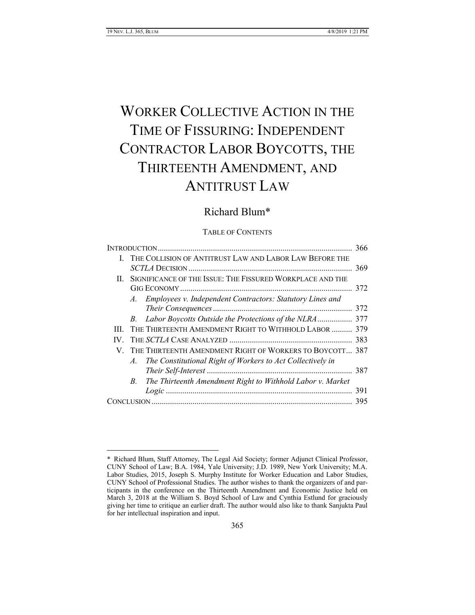# WORKER COLLECTIVE ACTION IN THE TIME OF FISSURING: INDEPENDENT CONTRACTOR LABOR BOYCOTTS, THE THIRTEENTH AMENDMENT, AND ANTITRUST LAW

# Richard Blum\*

#### TABLE OF CONTENTS

|     |                                                               |                                                              | 366 |
|-----|---------------------------------------------------------------|--------------------------------------------------------------|-----|
|     |                                                               | THE COLLISION OF ANTITRUST LAW AND LABOR LAW BEFORE THE      |     |
|     |                                                               |                                                              | 369 |
|     | II. SIGNIFICANCE OF THE ISSUE: THE FISSURED WORKPLACE AND THE |                                                              |     |
|     |                                                               |                                                              | 372 |
|     |                                                               | A. Employees v. Independent Contractors: Statutory Lines and |     |
|     |                                                               |                                                              | 372 |
|     |                                                               |                                                              |     |
| HL. |                                                               | THE THIRTEENTH AMENDMENT RIGHT TO WITHHOLD LABOR  379        |     |
| IV. |                                                               |                                                              | 383 |
|     | V. THE THIRTEENTH AMENDMENT RIGHT OF WORKERS TO BOYCOTT 387   |                                                              |     |
|     | A.                                                            | The Constitutional Right of Workers to Act Collectively in   |     |
|     |                                                               |                                                              |     |
|     | B.                                                            | The Thirteenth Amendment Right to Withhold Labor v. Market   |     |
|     |                                                               |                                                              | 391 |
|     |                                                               |                                                              | 395 |
|     |                                                               |                                                              |     |

<sup>\*</sup> Richard Blum, Staff Attorney, The Legal Aid Society; former Adjunct Clinical Professor, CUNY School of Law; B.A. 1984, Yale University; J.D. 1989, New York University; M.A. Labor Studies, 2015, Joseph S. Murphy Institute for Worker Education and Labor Studies, CUNY School of Professional Studies. The author wishes to thank the organizers of and participants in the conference on the Thirteenth Amendment and Economic Justice held on March 3, 2018 at the William S. Boyd School of Law and Cynthia Estlund for graciously giving her time to critique an earlier draft. The author would also like to thank Sanjukta Paul for her intellectual inspiration and input.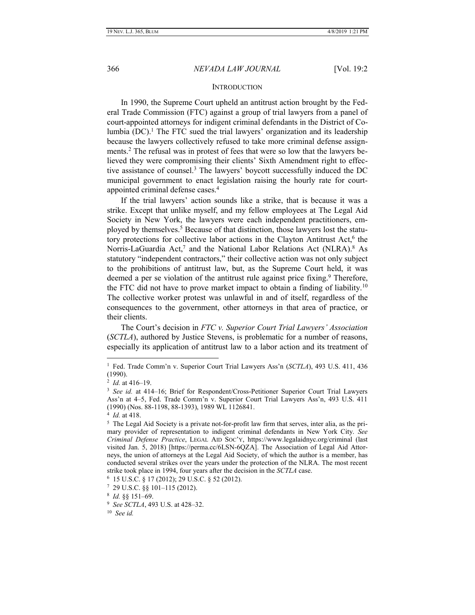#### **INTRODUCTION**

In 1990, the Supreme Court upheld an antitrust action brought by the Federal Trade Commission (FTC) against a group of trial lawyers from a panel of court-appointed attorneys for indigent criminal defendants in the District of Columbia  $(DC)$ .<sup>1</sup> The FTC sued the trial lawyers' organization and its leadership because the lawyers collectively refused to take more criminal defense assignments.<sup>2</sup> The refusal was in protest of fees that were so low that the lawyers believed they were compromising their clients' Sixth Amendment right to effective assistance of counsel.<sup>3</sup> The lawyers' boycott successfully induced the DC municipal government to enact legislation raising the hourly rate for courtappointed criminal defense cases.<sup>4</sup>

If the trial lawyers' action sounds like a strike, that is because it was a strike. Except that unlike myself, and my fellow employees at The Legal Aid Society in New York, the lawyers were each independent practitioners, employed by themselves.<sup>5</sup> Because of that distinction, those lawyers lost the statutory protections for collective labor actions in the Clayton Antitrust Act,<sup>6</sup> the Norris-LaGuardia Act,<sup>7</sup> and the National Labor Relations Act (NLRA).<sup>8</sup> As statutory "independent contractors," their collective action was not only subject to the prohibitions of antitrust law, but, as the Supreme Court held, it was deemed a per se violation of the antitrust rule against price fixing.<sup>9</sup> Therefore, the FTC did not have to prove market impact to obtain a finding of liability.<sup>10</sup> The collective worker protest was unlawful in and of itself, regardless of the consequences to the government, other attorneys in that area of practice, or their clients.

The Court's decision in *FTC v. Superior Court Trial Lawyers' Association* (*SCTLA*), authored by Justice Stevens, is problematic for a number of reasons, especially its application of antitrust law to a labor action and its treatment of

 $\overline{a}$ 

10 *See id.*

<sup>&</sup>lt;sup>1</sup> Fed. Trade Comm'n v. Superior Court Trial Lawyers Ass'n (*SCTLA*), 493 U.S. 411, 436 (1990).

<sup>2</sup> *Id.* at 416–19.

<sup>&</sup>lt;sup>3</sup> See id. at 414–16; Brief for Respondent/Cross-Petitioner Superior Court Trial Lawyers Ass'n at 4–5, Fed. Trade Comm'n v. Superior Court Trial Lawyers Ass'n, 493 U.S. 411 (1990) (Nos. 88-1198, 88-1393), 1989 WL 1126841.

<sup>4</sup> *Id.* at 418.

<sup>&</sup>lt;sup>5</sup> The Legal Aid Society is a private not-for-profit law firm that serves, inter alia, as the primary provider of representation to indigent criminal defendants in New York City. *See Criminal Defense Practice*, LEGAL AID SOC'Y, https://www.legalaidnyc.org/criminal (last visited Jan. 5, 2018) [https://perma.cc/6LSN-6QZA]. The Association of Legal Aid Attorneys, the union of attorneys at the Legal Aid Society, of which the author is a member, has conducted several strikes over the years under the protection of the NLRA. The most recent strike took place in 1994, four years after the decision in the *SCTLA* case.

<sup>6</sup> 15 U.S.C. § 17 (2012); 29 U.S.C. § 52 (2012).

<sup>7</sup> 29 U.S.C. §§ 101–115 (2012).

<sup>8</sup> *Id.* §§ 151–69.

<sup>9</sup> *See SCTLA*, 493 U.S. at 428–32.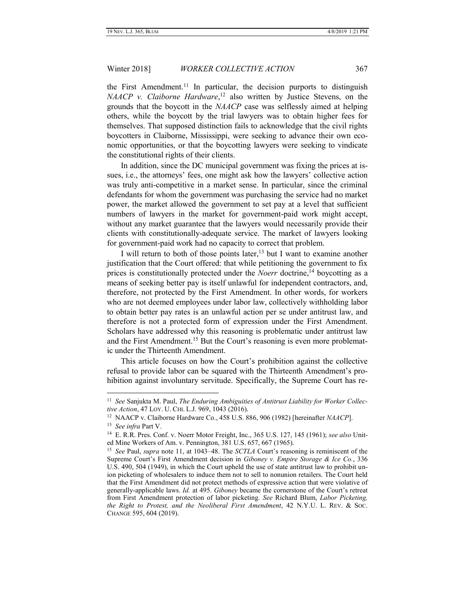the First Amendment.<sup>11</sup> In particular, the decision purports to distinguish *NAACP v. Claiborne Hardware*, <sup>12</sup> also written by Justice Stevens, on the grounds that the boycott in the *NAACP* case was selflessly aimed at helping others, while the boycott by the trial lawyers was to obtain higher fees for themselves. That supposed distinction fails to acknowledge that the civil rights boycotters in Claiborne, Mississippi, were seeking to advance their own economic opportunities, or that the boycotting lawyers were seeking to vindicate the constitutional rights of their clients.

In addition, since the DC municipal government was fixing the prices at issues, i.e., the attorneys' fees, one might ask how the lawyers' collective action was truly anti-competitive in a market sense. In particular, since the criminal defendants for whom the government was purchasing the service had no market power, the market allowed the government to set pay at a level that sufficient numbers of lawyers in the market for government-paid work might accept, without any market guarantee that the lawyers would necessarily provide their clients with constitutionally-adequate service. The market of lawyers looking for government-paid work had no capacity to correct that problem.

I will return to both of those points later,  $13$  but I want to examine another justification that the Court offered: that while petitioning the government to fix prices is constitutionally protected under the *Noerr* doctrine,<sup>14</sup> boycotting as a means of seeking better pay is itself unlawful for independent contractors, and, therefore, not protected by the First Amendment. In other words, for workers who are not deemed employees under labor law, collectively withholding labor to obtain better pay rates is an unlawful action per se under antitrust law, and therefore is not a protected form of expression under the First Amendment. Scholars have addressed why this reasoning is problematic under antitrust law and the First Amendment.<sup>15</sup> But the Court's reasoning is even more problematic under the Thirteenth Amendment.

This article focuses on how the Court's prohibition against the collective refusal to provide labor can be squared with the Thirteenth Amendment's prohibition against involuntary servitude. Specifically, the Supreme Court has re-

<sup>&</sup>lt;sup>11</sup> See Sanjukta M. Paul, *The Enduring Ambiguities of Antitrust Liability for Worker Collective Action*, 47 LOY. U. CHI. L.J. 969, 1043 (2016).

<sup>12</sup> NAACP v. Claiborne Hardware Co., 458 U.S. 886, 906 (1982) [hereinafter *NAACP*].

<sup>13</sup> *See infra* Part V.

<sup>14</sup> E. R.R. Pres. Conf. v. Noerr Motor Freight, Inc., 365 U.S. 127, 145 (1961); *see also* United Mine Workers of Am. v. Pennington, 381 U.S. 657, 667 (1965).

<sup>15</sup> *See* Paul, *supra* note 11, at 1043–48. The *SCTLA* Court's reasoning is reminiscent of the Supreme Court's First Amendment decision in *Giboney v. Empire Storage & Ice Co.*, 336 U.S. 490, 504 (1949), in which the Court upheld the use of state antitrust law to prohibit union picketing of wholesalers to induce them not to sell to nonunion retailers. The Court held that the First Amendment did not protect methods of expressive action that were violative of generally-applicable laws. *Id.* at 495. *Giboney* became the cornerstone of the Court's retreat from First Amendment protection of labor picketing. *See* Richard Blum, *Labor Picketing, the Right to Protest, and the Neoliberal First Amendment*, 42 N.Y.U. L. REV. & SOC. CHANGE 595, 604 (2019).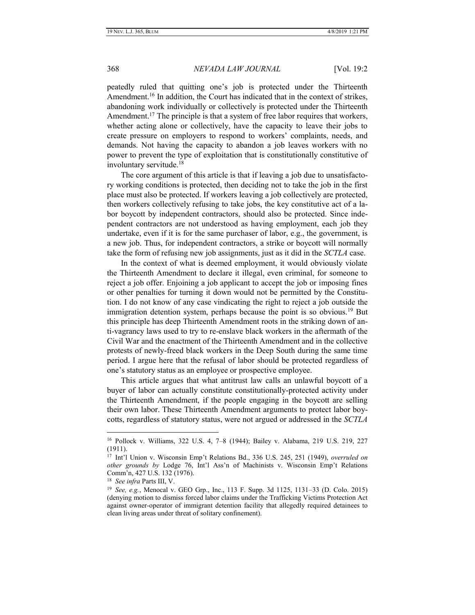peatedly ruled that quitting one's job is protected under the Thirteenth Amendment.<sup>16</sup> In addition, the Court has indicated that in the context of strikes, abandoning work individually or collectively is protected under the Thirteenth Amendment.<sup>17</sup> The principle is that a system of free labor requires that workers, whether acting alone or collectively, have the capacity to leave their jobs to create pressure on employers to respond to workers' complaints, needs, and demands. Not having the capacity to abandon a job leaves workers with no power to prevent the type of exploitation that is constitutionally constitutive of involuntary servitude.<sup>18</sup>

The core argument of this article is that if leaving a job due to unsatisfactory working conditions is protected, then deciding not to take the job in the first place must also be protected. If workers leaving a job collectively are protected, then workers collectively refusing to take jobs, the key constitutive act of a labor boycott by independent contractors, should also be protected. Since independent contractors are not understood as having employment, each job they undertake, even if it is for the same purchaser of labor, e.g., the government, is a new job. Thus, for independent contractors, a strike or boycott will normally take the form of refusing new job assignments, just as it did in the *SCTLA* case.

In the context of what is deemed employment, it would obviously violate the Thirteenth Amendment to declare it illegal, even criminal, for someone to reject a job offer. Enjoining a job applicant to accept the job or imposing fines or other penalties for turning it down would not be permitted by the Constitution. I do not know of any case vindicating the right to reject a job outside the immigration detention system, perhaps because the point is so obvious.<sup>19</sup> But this principle has deep Thirteenth Amendment roots in the striking down of anti-vagrancy laws used to try to re-enslave black workers in the aftermath of the Civil War and the enactment of the Thirteenth Amendment and in the collective protests of newly-freed black workers in the Deep South during the same time period. I argue here that the refusal of labor should be protected regardless of one's statutory status as an employee or prospective employee.

This article argues that what antitrust law calls an unlawful boycott of a buyer of labor can actually constitute constitutionally-protected activity under the Thirteenth Amendment, if the people engaging in the boycott are selling their own labor. These Thirteenth Amendment arguments to protect labor boycotts, regardless of statutory status, were not argued or addressed in the *SCTLA*

<sup>16</sup> Pollock v. Williams, 322 U.S. 4, 7–8 (1944); Bailey v. Alabama, 219 U.S. 219, 227 (1911).

<sup>17</sup> Int'l Union v. Wisconsin Emp't Relations Bd., 336 U.S. 245, 251 (1949), *overruled on other grounds by* Lodge 76, Int'l Ass'n of Machinists v. Wisconsin Emp't Relations Comm'n, 427 U.S. 132 (1976).

<sup>18</sup> *See infra* Parts III, V.

<sup>19</sup> *See, e.g.*, Menocal v. GEO Grp., Inc., 113 F. Supp. 3d 1125, 1131–33 (D. Colo. 2015) (denying motion to dismiss forced labor claims under the Trafficking Victims Protection Act against owner-operator of immigrant detention facility that allegedly required detainees to clean living areas under threat of solitary confinement).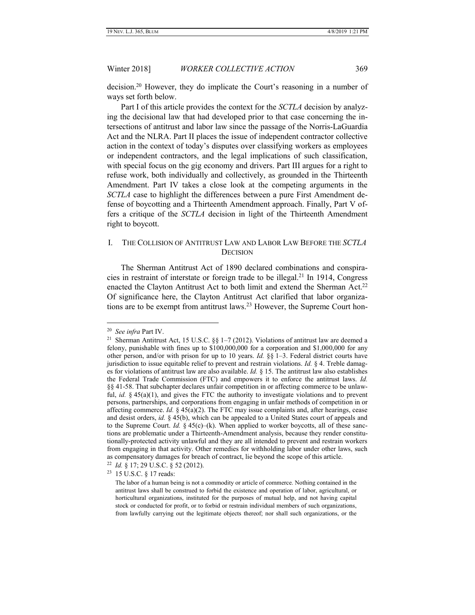decision.<sup>20</sup> However, they do implicate the Court's reasoning in a number of ways set forth below.

Part I of this article provides the context for the *SCTLA* decision by analyzing the decisional law that had developed prior to that case concerning the intersections of antitrust and labor law since the passage of the Norris-LaGuardia Act and the NLRA. Part II places the issue of independent contractor collective action in the context of today's disputes over classifying workers as employees or independent contractors, and the legal implications of such classification, with special focus on the gig economy and drivers. Part III argues for a right to refuse work, both individually and collectively, as grounded in the Thirteenth Amendment. Part IV takes a close look at the competing arguments in the *SCTLA* case to highlight the differences between a pure First Amendment defense of boycotting and a Thirteenth Amendment approach. Finally, Part V offers a critique of the *SCTLA* decision in light of the Thirteenth Amendment right to boycott.

# <span id="page-4-0"></span>I. THE COLLISION OF ANTITRUST LAW AND LABOR LAW BEFORE THE *SCTLA* **DECISION**

The Sherman Antitrust Act of 1890 declared combinations and conspiracies in restraint of interstate or foreign trade to be illegal.<sup>21</sup> In 1914, Congress enacted the Clayton Antitrust Act to both limit and extend the Sherman Act.<sup>22</sup> Of significance here, the Clayton Antitrust Act clarified that labor organizations are to be exempt from antitrust laws.<sup>23</sup> However, the Supreme Court hon-

<sup>20</sup> *See infra* Part IV.

<sup>&</sup>lt;sup>21</sup> Sherman Antitrust Act, 15 U.S.C.  $\S$ <sub>5</sub> 1–7 (2012). Violations of antitrust law are deemed a felony, punishable with fines up to \$100,000,000 for a corporation and \$1,000,000 for any other person, and/or with prison for up to 10 years. *Id.* §§ 1–3. Federal district courts have jurisdiction to issue equitable relief to prevent and restrain violations. *Id.* § 4. Treble damages for violations of antitrust law are also available. *Id.* § 15. The antitrust law also establishes the Federal Trade Commission (FTC) and empowers it to enforce the antitrust laws. *Id.*  §§ 41-58. That subchapter declares unfair competition in or affecting commerce to be unlawful, *id.* § 45(a)(1), and gives the FTC the authority to investigate violations and to prevent persons, partnerships, and corporations from engaging in unfair methods of competition in or affecting commerce. *Id.* § 45(a)(2). The FTC may issue complaints and, after hearings, cease and desist orders, *id.* § 45(b), which can be appealed to a United States court of appeals and to the Supreme Court. *Id.*  $\S$  45(c)–(k). When applied to worker boycotts, all of these sanctions are problematic under a Thirteenth-Amendment analysis, because they render constitutionally-protected activity unlawful and they are all intended to prevent and restrain workers from engaging in that activity. Other remedies for withholding labor under other laws, such as compensatory damages for breach of contract, lie beyond the scope of this article.

<sup>22</sup> *Id.* § 17; 29 U.S.C. § 52 (2012).

<sup>&</sup>lt;sup>23</sup> 15 U.S.C. § 17 reads:

The labor of a human being is not a commodity or article of commerce. Nothing contained in the antitrust laws shall be construed to forbid the existence and operation of labor, agricultural, or horticultural organizations, instituted for the purposes of mutual help, and not having capital stock or conducted for profit, or to forbid or restrain individual members of such organizations, from lawfully carrying out the legitimate objects thereof; nor shall such organizations, or the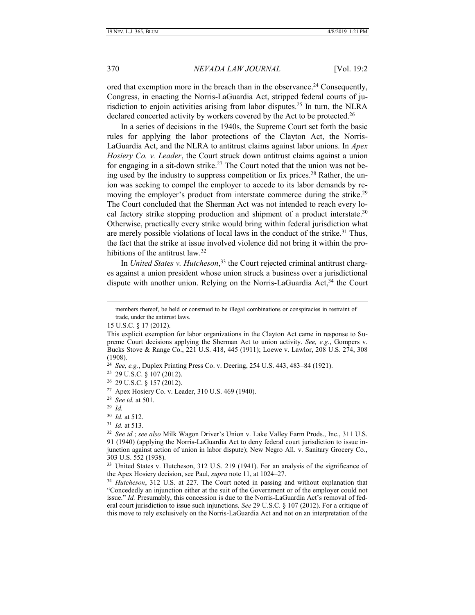ored that exemption more in the breach than in the observance.<sup>24</sup> Consequently, Congress, in enacting the Norris-LaGuardia Act, stripped federal courts of jurisdiction to enjoin activities arising from labor disputes.<sup>25</sup> In turn, the NLRA declared concerted activity by workers covered by the Act to be protected.<sup>26</sup>

In a series of decisions in the 1940s, the Supreme Court set forth the basic rules for applying the labor protections of the Clayton Act, the Norris-LaGuardia Act, and the NLRA to antitrust claims against labor unions. In *Apex Hosiery Co. v. Leader*, the Court struck down antitrust claims against a union for engaging in a sit-down strike.<sup>27</sup> The Court noted that the union was not being used by the industry to suppress competition or fix prices.<sup>28</sup> Rather, the union was seeking to compel the employer to accede to its labor demands by removing the employer's product from interstate commerce during the strike.<sup>29</sup> The Court concluded that the Sherman Act was not intended to reach every local factory strike stopping production and shipment of a product interstate.<sup>30</sup> Otherwise, practically every strike would bring within federal jurisdiction what are merely possible violations of local laws in the conduct of the strike.<sup>31</sup> Thus, the fact that the strike at issue involved violence did not bring it within the prohibitions of the antitrust law.<sup>32</sup>

In *United States v. Hutcheson*, <sup>33</sup> the Court rejected criminal antitrust charges against a union president whose union struck a business over a jurisdictional dispute with another union. Relying on the Norris-LaGuardia Act,<sup>34</sup> the Court

24 *See, e.g.*, Duplex Printing Press Co. v. Deering, 254 U.S. 443, 483–84 (1921).

25 29 U.S.C. § 107 (2012).

26 29 U.S.C. § 157 (2012).

27 Apex Hosiery Co. v. Leader, 310 U.S. 469 (1940).

29 *Id.*

members thereof, be held or construed to be illegal combinations or conspiracies in restraint of trade, under the antitrust laws.

<sup>15</sup> U.S.C. § 17 (2012).

This explicit exemption for labor organizations in the Clayton Act came in response to Supreme Court decisions applying the Sherman Act to union activity. *See, e.g.*, Gompers v. Bucks Stove & Range Co., 221 U.S. 418, 445 (1911); Loewe v. Lawlor, 208 U.S. 274, 308 (1908).

<sup>28</sup> *See id.* at 501.

<sup>30</sup> *Id.* at 512.

<sup>31</sup> *Id.* at 513.

<sup>32</sup> *See id.*; *see also* Milk Wagon Driver's Union v. Lake Valley Farm Prods., Inc., 311 U.S. 91 (1940) (applying the Norris-LaGuardia Act to deny federal court jurisdiction to issue injunction against action of union in labor dispute); New Negro All. v. Sanitary Grocery Co., 303 U.S. 552 (1938).

<sup>33</sup> United States v. Hutcheson, 312 U.S. 219 (1941). For an analysis of the significance of the Apex Hosiery decision, see Paul, *supra* note 11, at 1024–27.

<sup>34</sup> *Hutcheson*, 312 U.S. at 227. The Court noted in passing and without explanation that "Concededly an injunction either at the suit of the Government or of the employer could not issue." *Id.* Presumably, this concession is due to the Norris-LaGuardia Act's removal of federal court jurisdiction to issue such injunctions. *See* 29 U.S.C. § 107 (2012). For a critique of this move to rely exclusively on the Norris-LaGuardia Act and not on an interpretation of the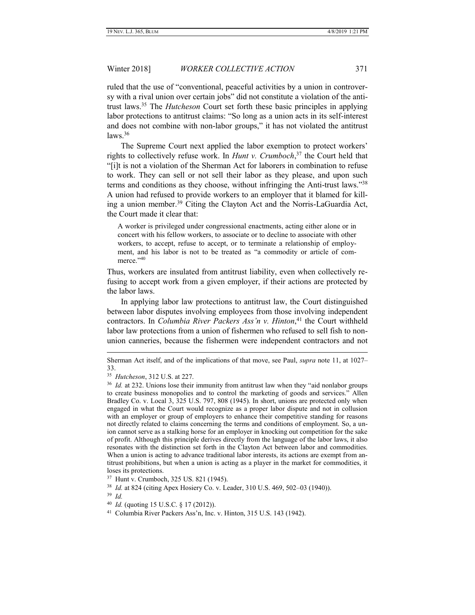ruled that the use of "conventional, peaceful activities by a union in controversy with a rival union over certain jobs" did not constitute a violation of the antitrust laws.<sup>35</sup> The *Hutcheson* Court set forth these basic principles in applying labor protections to antitrust claims: "So long as a union acts in its self-interest and does not combine with non-labor groups," it has not violated the antitrust  $laws.<sup>36</sup>$ 

The Supreme Court next applied the labor exemption to protect workers' rights to collectively refuse work. In *Hunt v. Crumboch*, <sup>37</sup> the Court held that "[i]t is not a violation of the Sherman Act for laborers in combination to refuse to work. They can sell or not sell their labor as they please, and upon such terms and conditions as they choose, without infringing the Anti-trust laws."<sup>38</sup> A union had refused to provide workers to an employer that it blamed for killing a union member.<sup>39</sup> Citing the Clayton Act and the Norris-LaGuardia Act, the Court made it clear that:

A worker is privileged under congressional enactments, acting either alone or in concert with his fellow workers, to associate or to decline to associate with other workers, to accept, refuse to accept, or to terminate a relationship of employment, and his labor is not to be treated as "a commodity or article of commerce."<sup>40</sup>

Thus, workers are insulated from antitrust liability, even when collectively refusing to accept work from a given employer, if their actions are protected by the labor laws.

In applying labor law protections to antitrust law, the Court distinguished between labor disputes involving employees from those involving independent contractors. In *Columbia River Packers Ass'n v. Hinton*, <sup>41</sup> the Court withheld labor law protections from a union of fishermen who refused to sell fish to nonunion canneries, because the fishermen were independent contractors and not

Sherman Act itself, and of the implications of that move, see Paul, *supra* note 11, at 1027– 33.

<sup>35</sup> *Hutcheson*, 312 U.S. at 227.

<sup>&</sup>lt;sup>36</sup> *Id.* at 232. Unions lose their immunity from antitrust law when they "aid nonlabor groups to create business monopolies and to control the marketing of goods and services." Allen Bradley Co. v. Local 3, 325 U.S. 797, 808 (1945). In short, unions are protected only when engaged in what the Court would recognize as a proper labor dispute and not in collusion with an employer or group of employers to enhance their competitive standing for reasons not directly related to claims concerning the terms and conditions of employment. So, a union cannot serve as a stalking horse for an employer in knocking out competition for the sake of profit. Although this principle derives directly from the language of the labor laws, it also resonates with the distinction set forth in the Clayton Act between labor and commodities. When a union is acting to advance traditional labor interests, its actions are exempt from antitrust prohibitions, but when a union is acting as a player in the market for commodities, it loses its protections.

<sup>37</sup> Hunt v. Crumboch, 325 US. 821 (1945).

<sup>38</sup> *Id.* at 824 (citing Apex Hosiery Co. v. Leader, 310 U.S. 469, 502–03 (1940)). 39 *Id.*

<sup>40</sup> *Id.* (quoting 15 U.S.C. § 17 (2012)).

<sup>41</sup> Columbia River Packers Ass'n, Inc. v. Hinton, 315 U.S. 143 (1942).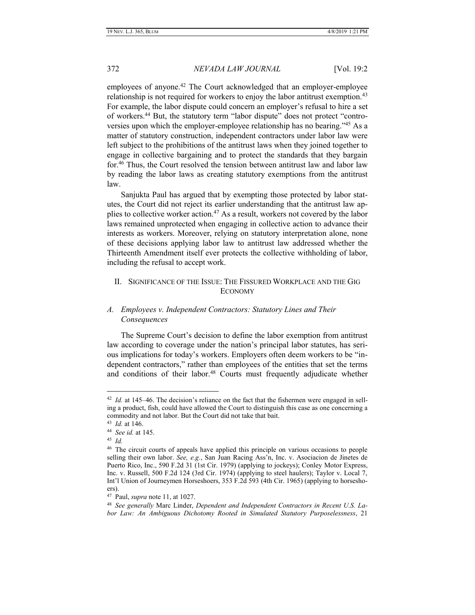employees of anyone.<sup>42</sup> The Court acknowledged that an employer-employee relationship is not required for workers to enjoy the labor antitrust exemption.<sup>43</sup> For example, the labor dispute could concern an employer's refusal to hire a set of workers.<sup>44</sup> But, the statutory term "labor dispute" does not protect "controversies upon which the employer-employee relationship has no bearing."<sup>45</sup> As a matter of statutory construction, independent contractors under labor law were left subject to the prohibitions of the antitrust laws when they joined together to engage in collective bargaining and to protect the standards that they bargain for.<sup>46</sup> Thus, the Court resolved the tension between antitrust law and labor law by reading the labor laws as creating statutory exemptions from the antitrust law.

Sanjukta Paul has argued that by exempting those protected by labor statutes, the Court did not reject its earlier understanding that the antitrust law applies to collective worker action.<sup>47</sup> As a result, workers not covered by the labor laws remained unprotected when engaging in collective action to advance their interests as workers. Moreover, relying on statutory interpretation alone, none of these decisions applying labor law to antitrust law addressed whether the Thirteenth Amendment itself ever protects the collective withholding of labor, including the refusal to accept work.

# <span id="page-7-0"></span>II. SIGNIFICANCE OF THE ISSUE: THE FISSURED WORKPLACE AND THE GIG ECONOMY

# <span id="page-7-1"></span>*A. Employees v. Independent Contractors: Statutory Lines and Their Consequences*

The Supreme Court's decision to define the labor exemption from antitrust law according to coverage under the nation's principal labor statutes, has serious implications for today's workers. Employers often deem workers to be "independent contractors," rather than employees of the entities that set the terms and conditions of their labor.<sup>48</sup> Courts must frequently adjudicate whether

<sup>&</sup>lt;sup>42</sup> *Id.* at 145–46. The decision's reliance on the fact that the fishermen were engaged in selling a product, fish, could have allowed the Court to distinguish this case as one concerning a commodity and not labor. But the Court did not take that bait.

<sup>43</sup> *Id.* at 146.

<sup>44</sup> *See id.* at 145.

<sup>45</sup> *Id.*

<sup>&</sup>lt;sup>46</sup> The circuit courts of appeals have applied this principle on various occasions to people selling their own labor. *See, e.g.*, San Juan Racing Ass'n, Inc. v. Asociacion de Jinetes de Puerto Rico, Inc., 590 F.2d 31 (1st Cir. 1979) (applying to jockeys); Conley Motor Express, Inc. v. Russell, 500 F.2d 124 (3rd Cir. 1974) (applying to steel haulers); Taylor v. Local 7, Int'l Union of Journeymen Horseshoers, 353 F.2d 593 (4th Cir. 1965) (applying to horseshoers).

<sup>47</sup> Paul, *supra* note 11, at 1027.

<sup>48</sup> *See generally* Marc Linder, *Dependent and Independent Contractors in Recent U.S. Labor Law: An Ambiguous Dichotomy Rooted in Simulated Statutory Purposelessness*, 21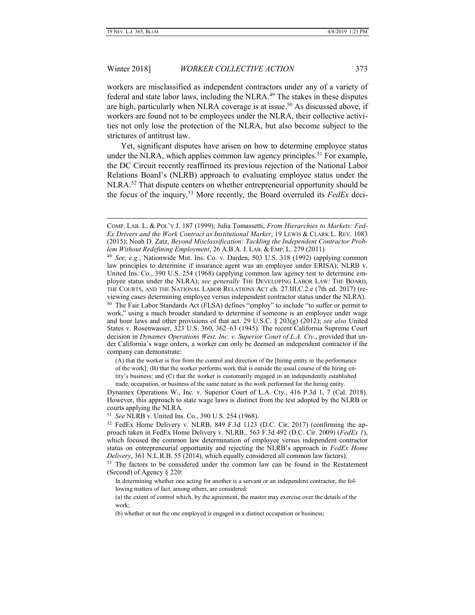# Winter 2018] *WORKER COLLECTIVE ACTION* 373

workers are misclassified as independent contractors under any of a variety of federal and state labor laws, including the NLRA. <sup>49</sup> The stakes in these disputes are high, particularly when NLRA coverage is at issue.<sup>50</sup> As discussed above, if workers are found not to be employees under the NLRA, their collective activities not only lose the protection of the NLRA, but also become subject to the strictures of antitrust law.

Yet, significant disputes have arisen on how to determine employee status under the NLRA, which applies common law agency principles.<sup>51</sup> For example, the DC Circuit recently reaffirmed its previous rejection of the National Labor Relations Board's (NLRB) approach to evaluating employee status under the NLRA.<sup>52</sup> That dispute centers on whether entrepreneurial opportunity should be the focus of the inquiry.<sup>53</sup> More recently, the Board overruled its *FedEx* deci-

(A) that the worker is free from the control and direction of the [hiring entity in the performance

of the work]; (B) that the worker performs work that is outside the usual course of the hiring entity's business; and (C) that the worker is customarily engaged in an independently established trade, occupation, or business of the same nature as the work performed for the hiring entity.

Dynamex Operations W., Inc. v. Superior Court of L.A. Cty., 416 P.3d 1, 7 (Cal. 2018). However, this approach to state wage laws is distinct from the test adopted by the NLRB or courts applying the NLRA.

51 *See* NLRB v. United Ins. Co., 390 U.S. 254 (1968).

<sup>53</sup> The factors to be considered under the common law can be found in the Restatement (Second) of Agency § 220:

In determining whether one acting for another is a servant or an independent contractor, the following matters of fact, among others, are considered:

(a) the extent of control which, by the agreement, the master may exercise over the details of the work;

COMP. LAB. L. & POL'Y J. 187 (1999); Julia Tomassetti, *From Hierarchies to Markets: Fed-Ex Drivers and the Work Contract as Institutional Marker*, 19 LEWIS & CLARK L. REV. 1083 (2015); Noah D. Zatz, *Beyond Misclassification: Tackling the Independent Contractor Problem Without Redefining Employment*, 26 A.B.A. J. LAB. & EMP. L. 279 (2011).

<sup>49</sup> *See, e.g.*, Nationwide Mut. Ins. Co. v. Darden, 503 U.S. 318 (1992) (applying common law principles to determine if insurance agent was an employee under ERISA); NLRB v. United Ins. Co., 390 U.S. 254 (1968) (applying common law agency test to determine employee status under the NLRA); *see generally* THE DEVELOPING LABOR LAW: THE BOARD, THE COURTS, AND THE NATIONAL LABOR RELATIONS ACT ch. 27.III.C.2.e (7th ed. 2017) (reviewing cases determining employee versus independent contractor status under the NLRA).

<sup>&</sup>lt;sup>50</sup> The Fair Labor Standards Act (FLSA) defines "employ" to include "to suffer or permit to work," using a much broader standard to determine if someone is an employee under wage and hour laws and other provisions of that act. 29 U.S.C. § 203(g) (2012); *see also* United States v. Rosenwasser, 323 U.S. 360, 362–63 (1945). The recent California Supreme Court decision in *Dynamex Operations West, Inc. v. Superior Court of L.A. Cty.*, provided that under California's wage orders, a worker can only be deemed an independent contractor if the company can demonstrate:

<sup>52</sup> FedEx Home Delivery v. NLRB, 849 F.3d 1123 (D.C. Cir. 2017) (confirming the approach taken in FedEx Home Delivery v. NLRB., 563 F.3d 492 (D.C. Cir. 2009) (*FedEx 1*), which focused the common law determination of employee versus independent contractor status on entrepreneurial opportunity and rejecting the NLRB's approach in *FedEx Home Delivery*, 361 N.L.R.B. 55 (2014), which equally considered all common law factors).

<sup>(</sup>b) whether or not the one employed is engaged in a distinct occupation or business;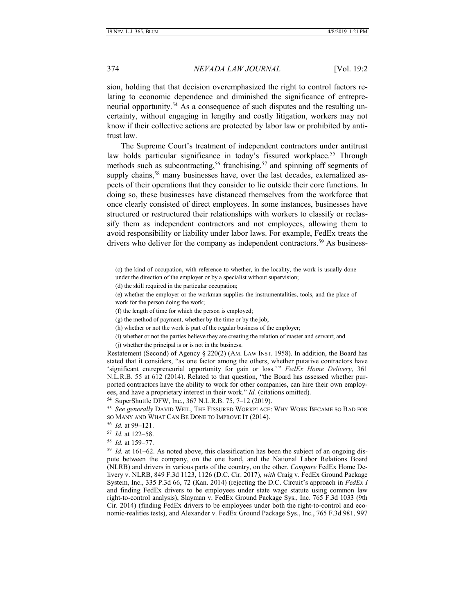sion, holding that that decision overemphasized the right to control factors relating to economic dependence and diminished the significance of entrepreneurial opportunity.<sup>54</sup> As a consequence of such disputes and the resulting uncertainty, without engaging in lengthy and costly litigation, workers may not know if their collective actions are protected by labor law or prohibited by antitrust law.

The Supreme Court's treatment of independent contractors under antitrust law holds particular significance in today's fissured workplace.<sup>55</sup> Through methods such as subcontracting,<sup>56</sup> franchising,<sup>57</sup> and spinning off segments of supply chains,<sup>58</sup> many businesses have, over the last decades, externalized aspects of their operations that they consider to lie outside their core functions. In doing so, these businesses have distanced themselves from the workforce that once clearly consisted of direct employees. In some instances, businesses have structured or restructured their relationships with workers to classify or reclassify them as independent contractors and not employees, allowing them to avoid responsibility or liability under labor laws. For example, FedEx treats the drivers who deliver for the company as independent contractors.<sup>59</sup> As business-

(i) whether or not the parties believe they are creating the relation of master and servant; and

(j) whether the principal is or is not in the business.

Restatement (Second) of Agency § 220(2) (AM. LAW INST. 1958). In addition, the Board has stated that it considers, "as one factor among the others, whether putative contractors have 'significant entrepreneurial opportunity for gain or loss.' " *FedEx Home Delivery*, 361 N.L.R.B. 55 at 612 (2014). Related to that question, "the Board has assessed whether purported contractors have the ability to work for other companies, can hire their own employees, and have a proprietary interest in their work." *Id.* (citations omitted).

<sup>(</sup>c) the kind of occupation, with reference to whether, in the locality, the work is usually done under the direction of the employer or by a specialist without supervision;

<sup>(</sup>d) the skill required in the particular occupation;

<sup>(</sup>e) whether the employer or the workman supplies the instrumentalities, tools, and the place of work for the person doing the work;

<sup>(</sup>f) the length of time for which the person is employed;

<sup>(</sup>g) the method of payment, whether by the time or by the job;

<sup>(</sup>h) whether or not the work is part of the regular business of the employer;

<sup>54</sup> SuperShuttle DFW, Inc., 367 N.L.R.B. 75, 7–12 (2019).

<sup>55</sup> *See generally* DAVID WEIL, THE FISSURED WORKPLACE: WHY WORK BECAME SO BAD FOR SO MANY AND WHAT CAN BE DONE TO IMPROVE IT (2014).

<sup>56</sup> *Id.* at 99–121.

<sup>57</sup> *Id.* at 122–58.

<sup>58</sup> *Id.* at 159–77.

<sup>59</sup> *Id.* at 161–62. As noted above, this classification has been the subject of an ongoing dispute between the company, on the one hand, and the National Labor Relations Board (NLRB) and drivers in various parts of the country, on the other. *Compare* FedEx Home Delivery v. NLRB, 849 F.3d 1123, 1126 (D.C. Cir. 2017), *with* Craig v. FedEx Ground Package System, Inc., 335 P.3d 66, 72 (Kan. 2014) (rejecting the D.C. Circuit's approach in *FedEx I* and finding FedEx drivers to be employees under state wage statute using common law right-to-control analysis), Slayman v. FedEx Ground Package Sys., Inc. 765 F.3d 1033 (9th Cir. 2014) (finding FedEx drivers to be employees under both the right-to-control and economic-realities tests), and Alexander v. FedEx Ground Package Sys., Inc., 765 F.3d 981, 997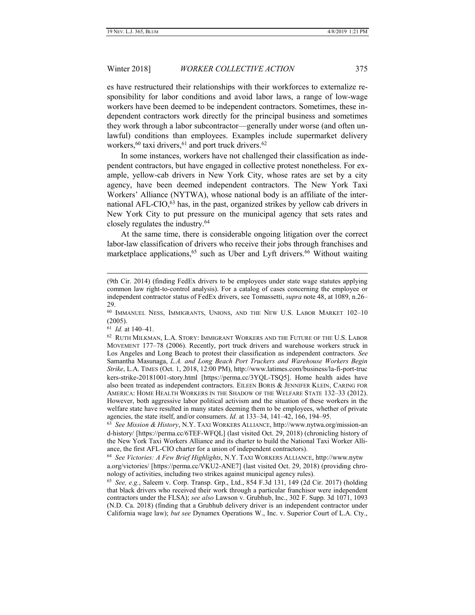es have restructured their relationships with their workforces to externalize responsibility for labor conditions and avoid labor laws, a range of low-wage workers have been deemed to be independent contractors. Sometimes, these independent contractors work directly for the principal business and sometimes they work through a labor subcontractor—generally under worse (and often unlawful) conditions than employees. Examples include supermarket delivery workers,  $60$  taxi drivers,  $61$  and port truck drivers.  $62$ 

In some instances, workers have not challenged their classification as independent contractors, but have engaged in collective protest nonetheless. For example, yellow-cab drivers in New York City, whose rates are set by a city agency, have been deemed independent contractors. The New York Taxi Workers' Alliance (NYTWA), whose national body is an affiliate of the international AFL-CIO,<sup>63</sup> has, in the past, organized strikes by yellow cab drivers in New York City to put pressure on the municipal agency that sets rates and closely regulates the industry.<sup>64</sup>

At the same time, there is considerable ongoing litigation over the correct labor-law classification of drivers who receive their jobs through franchises and marketplace applications,  $65$  such as Uber and Lyft drivers.  $66$  Without waiting

61 *Id.* at 140–41.

<sup>(9</sup>th Cir. 2014) (finding FedEx drivers to be employees under state wage statutes applying common law right-to-control analysis). For a catalog of cases concerning the employee or independent contractor status of FedEx drivers, see Tomassetti, *supra* note 48, at 1089, n.26– 29.

<sup>&</sup>lt;sup>60</sup> IMMANUEL NESS, IMMIGRANTS, UNIONS, AND THE NEW U.S. LABOR MARKET 102-10 (2005).

 $^{62}$  Ruth Milkman, L.A. Story: Immigrant Workers and the Future of the U.S. Labor MOVEMENT 177–78 (2006). Recently, port truck drivers and warehouse workers struck in Los Angeles and Long Beach to protest their classification as independent contractors. *See* Samantha Masunaga, *L.A. and Long Beach Port Truckers and Warehouse Workers Begin Strike*, L.A. TIMES (Oct. 1, 2018, 12:00 PM), http://www.latimes.com/business/la-fi-port-truc kers-strike-20181001-story.html [https://perma.cc/3YQL-TSQ5]. Home health aides have also been treated as independent contractors. EILEEN BORIS & JENNIFER KLEIN, CARING FOR AMERICA: HOME HEALTH WORKERS IN THE SHADOW OF THE WELFARE STATE 132–33 (2012). However, both aggressive labor political activism and the situation of these workers in the welfare state have resulted in many states deeming them to be employees, whether of private agencies, the state itself, and/or consumers. *Id.* at 133–34, 141–42, 166, 194–95.

<sup>63</sup> *See Mission & History*, N.Y. TAXI WORKERS ALLIANCE, http://www.nytwa.org/mission-an d-history/ [https://perma.cc/6TEF-WFQL] (last visited Oct. 29, 2018) (chronicling history of the New York Taxi Workers Alliance and its charter to build the National Taxi Worker Alliance, the first AFL-CIO charter for a union of independent contractors).

<sup>64</sup> *See Victories: A Few Brief Highlights*, N.Y. TAXI WORKERS ALLIANCE, http://www.nytw a.org/victories/ [https://perma.cc/VKU2-ANE7] (last visited Oct. 29, 2018) (providing chronology of activities, including two strikes against municipal agency rules).

<sup>65</sup> *See, e.g.*, Saleem v. Corp. Transp. Grp., Ltd., 854 F.3d 131, 149 (2d Cir. 2017) (holding that black drivers who received their work through a particular franchisor were independent contractors under the FLSA); *see also* Lawson v. Grubhub, Inc., 302 F. Supp. 3d 1071, 1093 (N.D. Ca. 2018) (finding that a Grubhub delivery driver is an independent contractor under California wage law); *but see* Dynamex Operations W., Inc. v. Superior Court of L.A. Cty.,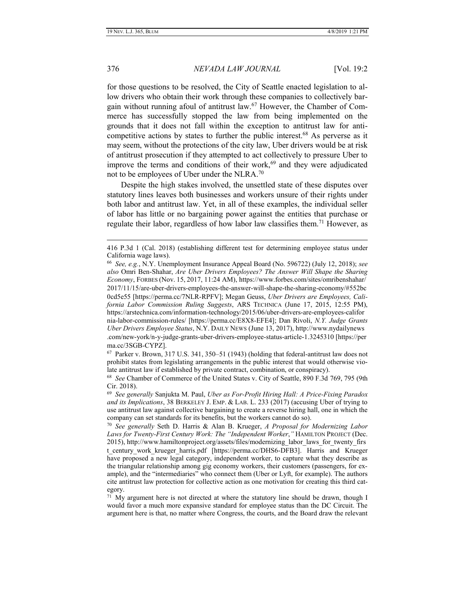for those questions to be resolved, the City of Seattle enacted legislation to allow drivers who obtain their work through these companies to collectively bargain without running afoul of antitrust law.<sup>67</sup> However, the Chamber of Commerce has successfully stopped the law from being implemented on the grounds that it does not fall within the exception to antitrust law for anticompetitive actions by states to further the public interest.<sup>68</sup> As perverse as it may seem, without the protections of the city law, Uber drivers would be at risk of antitrust prosecution if they attempted to act collectively to pressure Uber to improve the terms and conditions of their work, $69$  and they were adjudicated not to be employees of Uber under the NLRA.<sup>70</sup>

Despite the high stakes involved, the unsettled state of these disputes over statutory lines leaves both businesses and workers unsure of their rights under both labor and antitrust law. Yet, in all of these examples, the individual seller of labor has little or no bargaining power against the entities that purchase or regulate their labor, regardless of how labor law classifies them.<sup>71</sup> However, as

67 Parker v. Brown, 317 U.S. 341, 350–51 (1943) (holding that federal-antitrust law does not prohibit states from legislating arrangements in the public interest that would otherwise violate antitrust law if established by private contract, combination, or conspiracy).

<sup>416</sup> P.3d 1 (Cal. 2018) (establishing different test for determining employee status under California wage laws).

<sup>66</sup> *See, e.g.*, N.Y. Unemployment Insurance Appeal Board (No. 596722) (July 12, 2018); *see also* Omri Ben-Shahar, *Are Uber Drivers Employees? The Answer Will Shape the Sharing Economy*, FORBES (Nov. 15, 2017, 11:24 AM), https://www.forbes.com/sites/omribenshahar/ 2017/11/15/are-uber-drivers-employees-the-answer-will-shape-the-sharing-economy/#552bc 0cd5e55 [https://perma.cc/7NLR-RPFV]; Megan Geuss, *Uber Drivers are Employees, California Labor Commission Ruling Suggests*, ARS TECHNICA (June 17, 2015, 12:55 PM), https://arstechnica.com/information-technology/2015/06/uber-drivers-are-employees-califor nia-labor-commission-rules/ [https://perma.cc/E8X8-EFE4]; Dan Rivoli, *N.Y. Judge Grants Uber Drivers Employee Status*, N.Y. DAILY NEWS (June 13, 2017), http://www.nydailynews .com/new-york/n-y-judge-grants-uber-drivers-employee-status-article-1.3245310 [https://per ma.cc/3SGB-CYPZ].

<sup>68</sup> *See* Chamber of Commerce of the United States v. City of Seattle, 890 F.3d 769, 795 (9th Cir. 2018).

<sup>69</sup> *See generally* Sanjukta M. Paul, *Uber as For-Profit Hiring Hall: A Price-Fixing Paradox and its Implications*, 38 BERKELEY J. EMP. & LAB. L. 233 (2017) (accusing Uber of trying to use antitrust law against collective bargaining to create a reverse hiring hall, one in which the company can set standards for its benefits, but the workers cannot do so).

<sup>70</sup> *See generally* Seth D. Harris & Alan B. Krueger, *A Proposal for Modernizing Labor Laws for Twenty-First Century Work: The "Independent Worker*,*"* HAMILTON PROJECT (Dec. 2015), http://www.hamiltonproject.org/assets/files/modernizing\_labor\_laws\_for\_twenty\_firs t century work krueger harris.pdf [https://perma.cc/DHS6-DFB3]. Harris and Krueger have proposed a new legal category, independent worker, to capture what they describe as the triangular relationship among gig economy workers, their customers (passengers, for example), and the "intermediaries" who connect them (Uber or Lyft, for example). The authors cite antitrust law protection for collective action as one motivation for creating this third category.

<sup>&</sup>lt;sup>71</sup> My argument here is not directed at where the statutory line should be drawn, though I would favor a much more expansive standard for employee status than the DC Circuit. The argument here is that, no matter where Congress, the courts, and the Board draw the relevant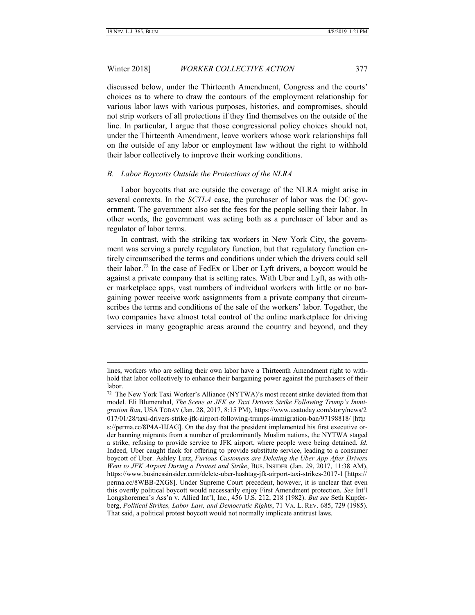# Winter 2018] *WORKER COLLECTIVE ACTION* 377

discussed below, under the Thirteenth Amendment, Congress and the courts' choices as to where to draw the contours of the employment relationship for various labor laws with various purposes, histories, and compromises, should not strip workers of all protections if they find themselves on the outside of the line. In particular, I argue that those congressional policy choices should not, under the Thirteenth Amendment, leave workers whose work relationships fall on the outside of any labor or employment law without the right to withhold their labor collectively to improve their working conditions.

#### <span id="page-12-0"></span>*B. Labor Boycotts Outside the Protections of the NLRA*

Labor boycotts that are outside the coverage of the NLRA might arise in several contexts. In the *SCTLA* case, the purchaser of labor was the DC government. The government also set the fees for the people selling their labor. In other words, the government was acting both as a purchaser of labor and as regulator of labor terms.

In contrast, with the striking tax workers in New York City, the government was serving a purely regulatory function, but that regulatory function entirely circumscribed the terms and conditions under which the drivers could sell their labor.<sup>72</sup> In the case of FedEx or Uber or Lyft drivers, a boycott would be against a private company that is setting rates. With Uber and Lyft, as with other marketplace apps, vast numbers of individual workers with little or no bargaining power receive work assignments from a private company that circumscribes the terms and conditions of the sale of the workers' labor. Together, the two companies have almost total control of the online marketplace for driving services in many geographic areas around the country and beyond, and they

lines, workers who are selling their own labor have a Thirteenth Amendment right to withhold that labor collectively to enhance their bargaining power against the purchasers of their labor.

<sup>&</sup>lt;sup>72</sup> The New York Taxi Worker's Alliance (NYTWA)'s most recent strike deviated from that model. Eli Blumenthal, *The Scene at JFK as Taxi Drivers Strike Following Trump's Immigration Ban*, USA TODAY (Jan. 28, 2017, 8:15 PM), https://www.usatoday.com/story/news/2 017/01/28/taxi-drivers-strike-jfk-airport-following-trumps-immigration-ban/97198818/ [http s://perma.cc/8P4A-HJAG]. On the day that the president implemented his first executive order banning migrants from a number of predominantly Muslim nations, the NYTWA staged a strike, refusing to provide service to JFK airport, where people were being detained. *Id.* Indeed, Uber caught flack for offering to provide substitute service, leading to a consumer boycott of Uber. Ashley Lutz, *Furious Customers are Deleting the Uber App After Drivers Went to JFK Airport During a Protest and Strike*, BUS. INSIDER (Jan. 29, 2017, 11:38 AM), https://www.businessinsider.com/delete-uber-hashtag-jfk-airport-taxi-strikes-2017-1 [https:// perma.cc/8WBB-2XG8]. Under Supreme Court precedent, however, it is unclear that even this overtly political boycott would necessarily enjoy First Amendment protection. *See* Int'l Longshoremen's Ass'n v. Allied Int'l, Inc., 456 U.S. 212, 218 (1982). *But see* Seth Kupferberg, *Political Strikes, Labor Law, and Democratic Rights*, 71 VA. L. REV. 685, 729 (1985). That said, a political protest boycott would not normally implicate antitrust laws.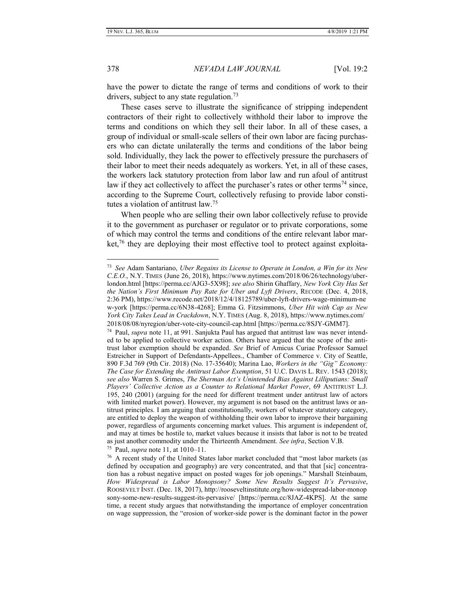378 *NEVADA LAW JOURNAL* [Vol. 19:2

have the power to dictate the range of terms and conditions of work to their drivers, subject to any state regulation.<sup>73</sup>

These cases serve to illustrate the significance of stripping independent contractors of their right to collectively withhold their labor to improve the terms and conditions on which they sell their labor. In all of these cases, a group of individual or small-scale sellers of their own labor are facing purchasers who can dictate unilaterally the terms and conditions of the labor being sold. Individually, they lack the power to effectively pressure the purchasers of their labor to meet their needs adequately as workers. Yet, in all of these cases, the workers lack statutory protection from labor law and run afoul of antitrust law if they act collectively to affect the purchaser's rates or other terms<sup>74</sup> since, according to the Supreme Court, collectively refusing to provide labor constitutes a violation of antitrust law.<sup>75</sup>

When people who are selling their own labor collectively refuse to provide it to the government as purchaser or regulator or to private corporations, some of which may control the terms and conditions of the entire relevant labor market,<sup>76</sup> they are deploying their most effective tool to protect against exploita-

75 Paul, *supra* note 11, at 1010–11.

<sup>73</sup> *See* Adam Santariano, *Uber Regains its License to Operate in London, a Win for its New C.E.O.*, N.Y. TIMES (June 26, 2018), https://www.nytimes.com/2018/06/26/technology/uberlondon.html [https://perma.cc/AJG3-5X98]; *see also* Shirin Ghaffary, *New York City Has Set the Nation's First Minimum Pay Rate for Uber and Lyft Drivers*, RECODE (Dec. 4, 2018, 2:36 PM), https://www.recode.net/2018/12/4/18125789/uber-lyft-drivers-wage-minimum-ne w-york [https://perma.cc/6N38-4268]; Emma G. Fitzsimmons, *Uber Hit with Cap as New York City Takes Lead in Crackdown*, N.Y. TIMES (Aug. 8, 2018), https://www.nytimes.com/ 2018/08/08/nyregion/uber-vote-city-council-cap.html [https://perma.cc/8SJY-GMM7].

<sup>74</sup> Paul, *supra* note 11, at 991. Sanjukta Paul has argued that antitrust law was never intended to be applied to collective worker action. Others have argued that the scope of the antitrust labor exemption should be expanded. *See* Brief of Amicus Curiae Professor Samuel Estreicher in Support of Defendants-Appellees., Chamber of Commerce v. City of Seattle, 890 F.3d 769 (9th Cir. 2018) (No. 17-35640); Marina Lao, *Workers in the "Gig" Economy: The Case for Extending the Antitrust Labor Exemption*, 51 U.C. DAVIS L. REV. 1543 (2018); *see also* Warren S. Grimes, *The Sherman Act's Unintended Bias Against Lilliputians: Small Players' Collective Action as a Counter to Relational Market Power*, 69 ANTITRUST L.J. 195, 240 (2001) (arguing for the need for different treatment under antitrust law of actors with limited market power). However, my argument is not based on the antitrust laws or antitrust principles. I am arguing that constitutionally, workers of whatever statutory category, are entitled to deploy the weapon of withholding their own labor to improve their bargaining power, regardless of arguments concerning market values. This argument is independent of, and may at times be hostile to, market values because it insists that labor is not to be treated as just another commodity under the Thirteenth Amendment. *See infra*, Section V.B.

<sup>&</sup>lt;sup>76</sup> A recent study of the United States labor market concluded that "most labor markets (as defined by occupation and geography) are very concentrated, and that that [sic] concentration has a robust negative impact on posted wages for job openings." Marshall Steinbaum, *How Widespread is Labor Monopsony? Some New Results Suggest It's Pervasive*, ROOSEVELT INST. (Dec. 18, 2017), http://rooseveltinstitute.org/how-widespread-labor-monop sony-some-new-results-suggest-its-pervasive/ [https://perma.cc/8JAZ-4KPS]. At the same time, a recent study argues that notwithstanding the importance of employer concentration on wage suppression, the "erosion of worker-side power is the dominant factor in the power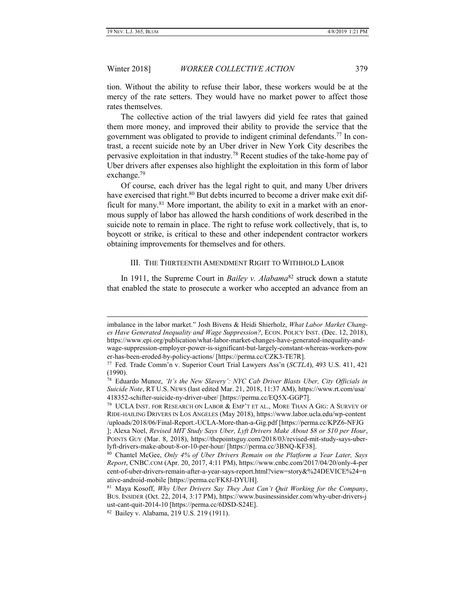## Winter 2018] *WORKER COLLECTIVE ACTION* 379

tion. Without the ability to refuse their labor, these workers would be at the mercy of the rate setters. They would have no market power to affect those rates themselves.

The collective action of the trial lawyers did yield fee rates that gained them more money, and improved their ability to provide the service that the government was obligated to provide to indigent criminal defendants.<sup>77</sup> In contrast, a recent suicide note by an Uber driver in New York City describes the pervasive exploitation in that industry.<sup>78</sup> Recent studies of the take-home pay of Uber drivers after expenses also highlight the exploitation in this form of labor exchange.<sup>79</sup>

Of course, each driver has the legal right to quit, and many Uber drivers have exercised that right.<sup>80</sup> But debts incurred to become a driver make exit difficult for many.<sup>81</sup> More important, the ability to exit in a market with an enormous supply of labor has allowed the harsh conditions of work described in the suicide note to remain in place. The right to refuse work collectively, that is, to boycott or strike, is critical to these and other independent contractor workers obtaining improvements for themselves and for others.

#### III. THE THIRTEENTH AMENDMENT RIGHT TO WITHHOLD LABOR

<span id="page-14-0"></span>In 1911, the Supreme Court in *Bailey v. Alabama*<sup>82</sup> struck down a statute that enabled the state to prosecute a worker who accepted an advance from an

imbalance in the labor market." Josh Bivens & Heidi Shierholz, *What Labor Market Changes Have Generated Inequality and Wage Suppression?*, ECON. POLICY INST. (Dec. 12, 2018), https://www.epi.org/publication/what-labor-market-changes-have-generated-inequality-andwage-suppression-employer-power-is-significant-but-largely-constant-whereas-workers-pow er-has-been-eroded-by-policy-actions/ [https://perma.cc/CZK3-TE7R].

<sup>77</sup> Fed. Trade Comm'n v. Superior Court Trial Lawyers Ass'n (*SCTLA*), 493 U.S. 411, 421 (1990).

<sup>78</sup> Eduardo Munoz, *'It's the New Slavery': NYC Cab Driver Blasts Uber, City Officials in Suicide Note*, RT U.S. NEWS (last edited Mar. 21, 2018, 11:37 AM), https://www.rt.com/usa/ 418352-schifter-suicide-ny-driver-uber/ [https://perma.cc/EQ5X-GGP7].

 $^{79}$  UCLA INST. FOR RESEARCH ON LABOR & EMP'T ET AL., MORE THAN A GIG: A SURVEY OF RIDE-HAILING DRIVERS IN LOS ANGELES (May 2018), https://www.labor.ucla.edu/wp-content /uploads/2018/06/Final-Report.-UCLA-More-than-a-Gig.pdf [https://perma.cc/KPZ6-NFJG

<sup>];</sup> Alexa Noel, *Revised MIT Study Says Uber, Lyft Drivers Make About \$8 or \$10 per Hour*, POINTS GUY (Mar. 8, 2018), https://thepointsguy.com/2018/03/revised-mit-study-says-uberlyft-drivers-make-about-8-or-10-per-hour/ [https://perma.cc/3BNQ-KF38].

<sup>80</sup> Chantel McGee, *Only 4% of Uber Drivers Remain on the Platform a Year Later, Says Report*, CNBC.COM (Apr. 20, 2017, 4:11 PM), https://www.cnbc.com/2017/04/20/only-4-per cent-of-uber-drivers-remain-after-a-year-says-report.html?view=story&%24DEVICE%24=n ative-android-mobile [https://perma.cc/FK8J-DYUH].

<sup>81</sup> Maya Kosoff, *Why Uber Drivers Say They Just Can't Quit Working for the Company*, BUS. INSIDER (Oct. 22, 2014, 3:17 PM), https://www.businessinsider.com/why-uber-drivers-j ust-cant-quit-2014-10 [https://perma.cc/6DSD-S24E].

<sup>82</sup> Bailey v. Alabama, 219 U.S. 219 (1911).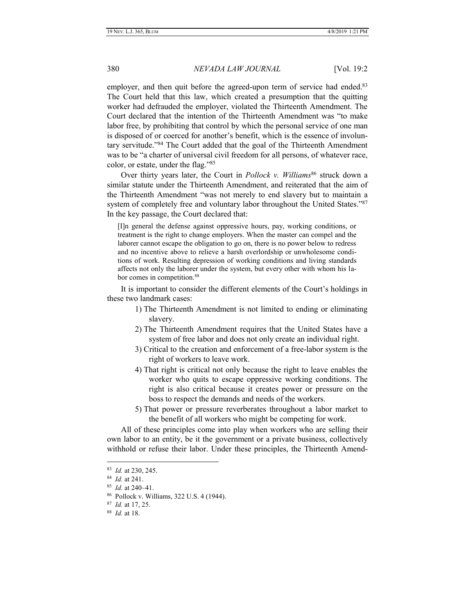employer, and then quit before the agreed-upon term of service had ended.<sup>83</sup> The Court held that this law, which created a presumption that the quitting worker had defrauded the employer, violated the Thirteenth Amendment. The Court declared that the intention of the Thirteenth Amendment was "to make labor free, by prohibiting that control by which the personal service of one man is disposed of or coerced for another's benefit, which is the essence of involuntary servitude."<sup>84</sup> The Court added that the goal of the Thirteenth Amendment was to be "a charter of universal civil freedom for all persons, of whatever race, color, or estate, under the flag."<sup>85</sup>

Over thirty years later, the Court in *Pollock v. Williams*<sup>86</sup> struck down a similar statute under the Thirteenth Amendment, and reiterated that the aim of the Thirteenth Amendment "was not merely to end slavery but to maintain a system of completely free and voluntary labor throughout the United States."<sup>87</sup> In the key passage, the Court declared that:

[I]n general the defense against oppressive hours, pay, working conditions, or treatment is the right to change employers. When the master can compel and the laborer cannot escape the obligation to go on, there is no power below to redress and no incentive above to relieve a harsh overlordship or unwholesome conditions of work. Resulting depression of working conditions and living standards affects not only the laborer under the system, but every other with whom his labor comes in competition.<sup>88</sup>

It is important to consider the different elements of the Court's holdings in these two landmark cases:

- 1) The Thirteenth Amendment is not limited to ending or eliminating slavery.
- 2) The Thirteenth Amendment requires that the United States have a system of free labor and does not only create an individual right.
- 3) Critical to the creation and enforcement of a free-labor system is the right of workers to leave work.
- 4) That right is critical not only because the right to leave enables the worker who quits to escape oppressive working conditions. The right is also critical because it creates power or pressure on the boss to respect the demands and needs of the workers.
- 5) That power or pressure reverberates throughout a labor market to the benefit of all workers who might be competing for work.

All of these principles come into play when workers who are selling their own labor to an entity, be it the government or a private business, collectively withhold or refuse their labor. Under these principles, the Thirteenth Amend-

<sup>83</sup> *Id.* at 230, 245.

<sup>84</sup> *Id.* at 241.

<sup>85</sup> *Id.* at 240–41.

<sup>86</sup> Pollock v. Williams, 322 U.S. 4 (1944).

<sup>87</sup> *Id.* at 17, 25.

<sup>88</sup> *Id.* at 18.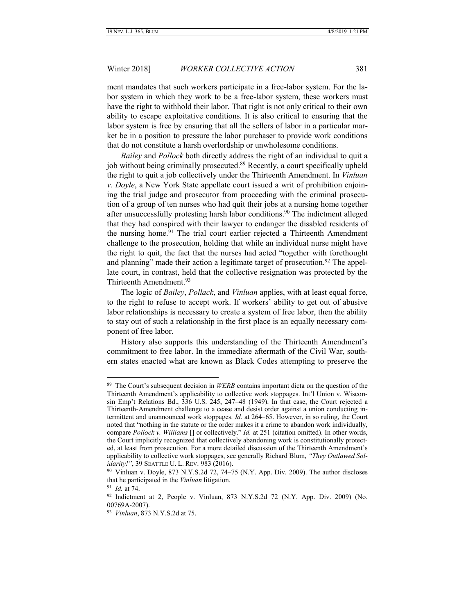ment mandates that such workers participate in a free-labor system. For the labor system in which they work to be a free-labor system, these workers must have the right to withhold their labor. That right is not only critical to their own ability to escape exploitative conditions. It is also critical to ensuring that the labor system is free by ensuring that all the sellers of labor in a particular market be in a position to pressure the labor purchaser to provide work conditions that do not constitute a harsh overlordship or unwholesome conditions.

*Bailey* and *Pollock* both directly address the right of an individual to quit a job without being criminally prosecuted.<sup>89</sup> Recently, a court specifically upheld the right to quit a job collectively under the Thirteenth Amendment. In *Vinluan v. Doyle*, a New York State appellate court issued a writ of prohibition enjoining the trial judge and prosecutor from proceeding with the criminal prosecution of a group of ten nurses who had quit their jobs at a nursing home together after unsuccessfully protesting harsh labor conditions.<sup>90</sup> The indictment alleged that they had conspired with their lawyer to endanger the disabled residents of the nursing home.<sup>91</sup> The trial court earlier rejected a Thirteenth Amendment challenge to the prosecution, holding that while an individual nurse might have the right to quit, the fact that the nurses had acted "together with forethought and planning" made their action a legitimate target of prosecution.<sup>92</sup> The appellate court, in contrast, held that the collective resignation was protected by the Thirteenth Amendment.<sup>93</sup>

The logic of *Bailey*, *Pollack*, and *Vinluan* applies, with at least equal force, to the right to refuse to accept work. If workers' ability to get out of abusive labor relationships is necessary to create a system of free labor, then the ability to stay out of such a relationship in the first place is an equally necessary component of free labor.

History also supports this understanding of the Thirteenth Amendment's commitment to free labor. In the immediate aftermath of the Civil War, southern states enacted what are known as Black Codes attempting to preserve the

<sup>89</sup> The Court's subsequent decision in *WERB* contains important dicta on the question of the Thirteenth Amendment's applicability to collective work stoppages. Int'l Union v. Wisconsin Emp't Relations Bd., 336 U.S. 245, 247–48 (1949). In that case, the Court rejected a Thirteenth-Amendment challenge to a cease and desist order against a union conducting intermittent and unannounced work stoppages. *Id.* at 264–65. However, in so ruling, the Court noted that "nothing in the statute or the order makes it a crime to abandon work individually, compare *Pollock v. Williams* [] or collectively." *Id.* at 251 (citation omitted). In other words, the Court implicitly recognized that collectively abandoning work is constitutionally protected, at least from prosecution. For a more detailed discussion of the Thirteenth Amendment's applicability to collective work stoppages, see generally Richard Blum, *"They Outlawed Solidarity!"*, 39 SEATTLE U. L. REV. 983 (2016).

<sup>90</sup> Vinluan v. Doyle, 873 N.Y.S.2d 72, 74–75 (N.Y. App. Div. 2009). The author discloses that he participated in the *Vinluan* litigation.

<sup>91</sup> *Id.* at 74.

<sup>&</sup>lt;sup>92</sup> Indictment at 2, People v. Vinluan, 873 N.Y.S.2d 72 (N.Y. App. Div. 2009) (No. 00769A-2007).

<sup>93</sup> *Vinluan*, 873 N.Y.S.2d at 75.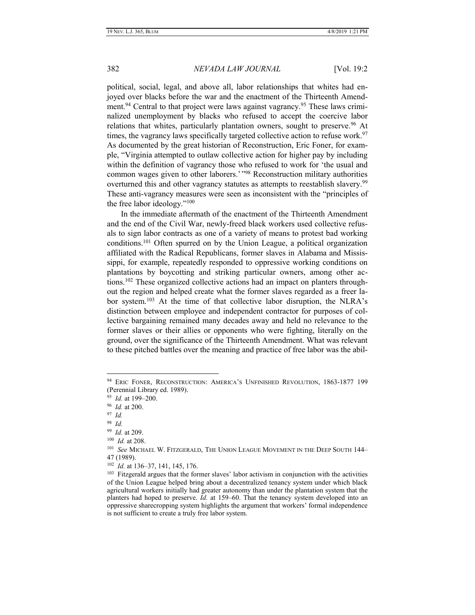political, social, legal, and above all, labor relationships that whites had enjoyed over blacks before the war and the enactment of the Thirteenth Amendment.<sup>94</sup> Central to that project were laws against vagrancy.<sup>95</sup> These laws criminalized unemployment by blacks who refused to accept the coercive labor relations that whites, particularly plantation owners, sought to preserve.<sup>96</sup> At times, the vagrancy laws specifically targeted collective action to refuse work.<sup>97</sup> As documented by the great historian of Reconstruction, Eric Foner, for example, "Virginia attempted to outlaw collective action for higher pay by including within the definition of vagrancy those who refused to work for 'the usual and common wages given to other laborers.' "<sup>98</sup> Reconstruction military authorities overturned this and other vagrancy statutes as attempts to reestablish slavery.<sup>99</sup> These anti-vagrancy measures were seen as inconsistent with the "principles of the free labor ideology."<sup>100</sup>

In the immediate aftermath of the enactment of the Thirteenth Amendment and the end of the Civil War, newly-freed black workers used collective refusals to sign labor contracts as one of a variety of means to protest bad working conditions.<sup>101</sup> Often spurred on by the Union League, a political organization affiliated with the Radical Republicans, former slaves in Alabama and Mississippi, for example, repeatedly responded to oppressive working conditions on plantations by boycotting and striking particular owners, among other actions.<sup>102</sup> These organized collective actions had an impact on planters throughout the region and helped create what the former slaves regarded as a freer labor system.<sup>103</sup> At the time of that collective labor disruption, the NLRA's distinction between employee and independent contractor for purposes of collective bargaining remained many decades away and held no relevance to the former slaves or their allies or opponents who were fighting, literally on the ground, over the significance of the Thirteenth Amendment. What was relevant to these pitched battles over the meaning and practice of free labor was the abil-

<sup>94</sup> ERIC FONER, RECONSTRUCTION: AMERICA'S UNFINISHED REVOLUTION, 1863-1877 199 (Perennial Library ed. 1989).

<sup>95</sup> *Id.* at 199–200.

<sup>96</sup> *Id.* at 200.

<sup>97</sup> *Id.*

<sup>98</sup> *Id.*

<sup>99</sup> *Id.* at 209.

<sup>100</sup> *Id.* at 208.

<sup>101</sup> *See* MICHAEL W. FITZGERALD, THE UNION LEAGUE MOVEMENT IN THE DEEP SOUTH 144– 47 (1989).

<sup>102</sup> *Id.* at 136–37, 141, 145, 176.

<sup>&</sup>lt;sup>103</sup> Fitzgerald argues that the former slaves' labor activism in conjunction with the activities of the Union League helped bring about a decentralized tenancy system under which black agricultural workers initially had greater autonomy than under the plantation system that the planters had hoped to preserve. *Id.* at 159–60. That the tenancy system developed into an oppressive sharecropping system highlights the argument that workers' formal independence is not sufficient to create a truly free labor system.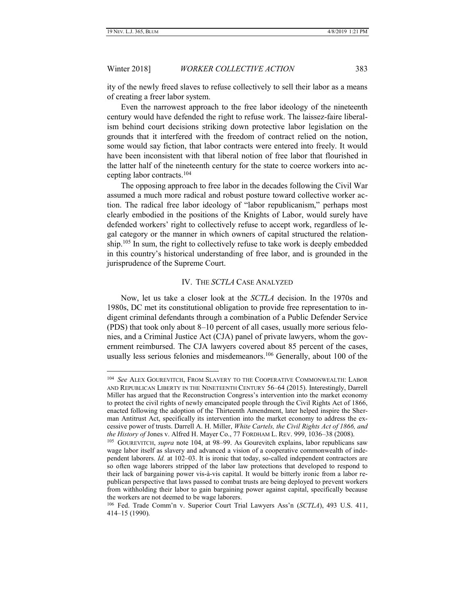# Winter 2018] *WORKER COLLECTIVE ACTION* 383

ity of the newly freed slaves to refuse collectively to sell their labor as a means of creating a freer labor system.

Even the narrowest approach to the free labor ideology of the nineteenth century would have defended the right to refuse work. The laissez-faire liberalism behind court decisions striking down protective labor legislation on the grounds that it interfered with the freedom of contract relied on the notion, some would say fiction, that labor contracts were entered into freely. It would have been inconsistent with that liberal notion of free labor that flourished in the latter half of the nineteenth century for the state to coerce workers into accepting labor contracts.<sup>104</sup>

The opposing approach to free labor in the decades following the Civil War assumed a much more radical and robust posture toward collective worker action. The radical free labor ideology of "labor republicanism," perhaps most clearly embodied in the positions of the Knights of Labor, would surely have defended workers' right to collectively refuse to accept work, regardless of legal category or the manner in which owners of capital structured the relationship.<sup>105</sup> In sum, the right to collectively refuse to take work is deeply embedded in this country's historical understanding of free labor, and is grounded in the jurisprudence of the Supreme Court.

#### IV. THE *SCTLA* CASE ANALYZED

<span id="page-18-0"></span>Now, let us take a closer look at the *SCTLA* decision. In the 1970s and 1980s, DC met its constitutional obligation to provide free representation to indigent criminal defendants through a combination of a Public Defender Service (PDS) that took only about 8–10 percent of all cases, usually more serious felonies, and a Criminal Justice Act (CJA) panel of private lawyers, whom the government reimbursed. The CJA lawyers covered about 85 percent of the cases, usually less serious felonies and misdemeanors.<sup>106</sup> Generally, about 100 of the

<sup>104</sup> *See* ALEX GOUREVITCH, FROM SLAVERY TO THE COOPERATIVE COMMONWEALTH: LABOR AND REPUBLICAN LIBERTY IN THE NINETEENTH CENTURY 56–64 (2015). Interestingly, Darrell Miller has argued that the Reconstruction Congress's intervention into the market economy to protect the civil rights of newly emancipated people through the Civil Rights Act of 1866, enacted following the adoption of the Thirteenth Amendment, later helped inspire the Sherman Antitrust Act, specifically its intervention into the market economy to address the excessive power of trusts. Darrell A. H. Miller, *White Cartels, the Civil Rights Act of 1866, and the History of* Jones v. Alfred H. Mayer Co., 77 FORDHAM L. REV. 999, 1036–38 (2008).

<sup>105</sup> GOUREVITCH, *supra* note 104, at 98–99. As Gourevitch explains, labor republicans saw wage labor itself as slavery and advanced a vision of a cooperative commonwealth of independent laborers. *Id.* at 102–03. It is ironic that today, so-called independent contractors are so often wage laborers stripped of the labor law protections that developed to respond to their lack of bargaining power vis-à-vis capital. It would be bitterly ironic from a labor republican perspective that laws passed to combat trusts are being deployed to prevent workers from withholding their labor to gain bargaining power against capital, specifically because the workers are not deemed to be wage laborers.

<sup>106</sup> Fed. Trade Comm'n v. Superior Court Trial Lawyers Ass'n (*SCTLA*), 493 U.S. 411, 414–15 (1990).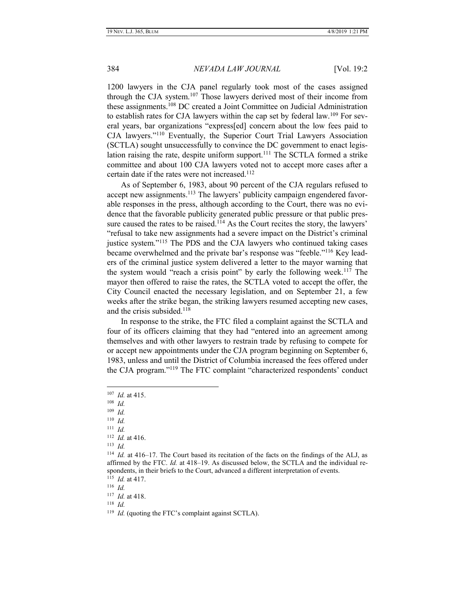1200 lawyers in the CJA panel regularly took most of the cases assigned through the CJA system.<sup>107</sup> Those lawyers derived most of their income from these assignments.<sup>108</sup> DC created a Joint Committee on Judicial Administration to establish rates for CJA lawyers within the cap set by federal law.<sup>109</sup> For several years, bar organizations "express[ed] concern about the low fees paid to CJA lawyers."<sup>110</sup> Eventually, the Superior Court Trial Lawyers Association (SCTLA) sought unsuccessfully to convince the DC government to enact legislation raising the rate, despite uniform support.<sup>111</sup> The SCTLA formed a strike committee and about 100 CJA lawyers voted not to accept more cases after a certain date if the rates were not increased.<sup>112</sup>

As of September 6, 1983, about 90 percent of the CJA regulars refused to accept new assignments.<sup>113</sup> The lawyers' publicity campaign engendered favorable responses in the press, although according to the Court, there was no evidence that the favorable publicity generated public pressure or that public pressure caused the rates to be raised.<sup>114</sup> As the Court recites the story, the lawyers' "refusal to take new assignments had a severe impact on the District's criminal justice system."<sup>115</sup> The PDS and the CJA lawyers who continued taking cases became overwhelmed and the private bar's response was "feeble."<sup>116</sup> Key leaders of the criminal justice system delivered a letter to the mayor warning that the system would "reach a crisis point" by early the following week.<sup>117</sup> The mayor then offered to raise the rates, the SCTLA voted to accept the offer, the City Council enacted the necessary legislation, and on September 21, a few weeks after the strike began, the striking lawyers resumed accepting new cases, and the crisis subsided.<sup>118</sup>

In response to the strike, the FTC filed a complaint against the SCTLA and four of its officers claiming that they had "entered into an agreement among themselves and with other lawyers to restrain trade by refusing to compete for or accept new appointments under the CJA program beginning on September 6, 1983, unless and until the District of Columbia increased the fees offered under the CJA program."<sup>119</sup> The FTC complaint "characterized respondents' conduct

 $\overline{a}$ 

110 *Id.*

111 *Id.*

- 112 *Id.* at 416.
- 113 *Id.*

116 *Id.*

118 *Id.*

<sup>107</sup> *Id.* at 415.

<sup>108</sup> *Id.*

<sup>109</sup> *Id.*

<sup>114</sup> *Id.* at 416–17. The Court based its recitation of the facts on the findings of the ALJ, as affirmed by the FTC. *Id.* at 418–19. As discussed below, the SCTLA and the individual respondents, in their briefs to the Court, advanced a different interpretation of events.

<sup>115</sup> *Id.* at 417.

<sup>117</sup> *Id.* at 418.

<sup>&</sup>lt;sup>119</sup> *Id.* (quoting the FTC's complaint against SCTLA).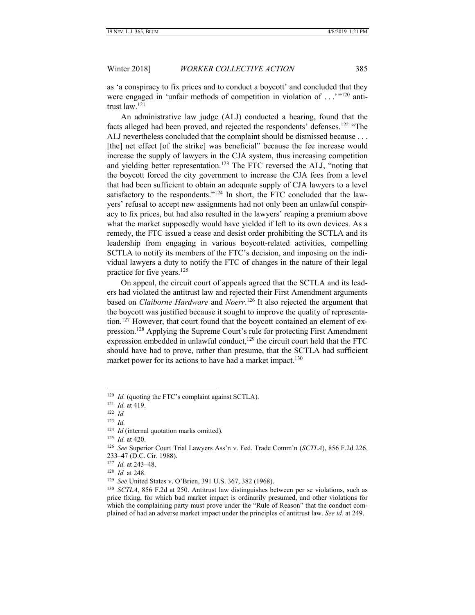as 'a conspiracy to fix prices and to conduct a boycott' and concluded that they were engaged in 'unfair methods of competition in violation of . . .'"<sup>120</sup> antitrust law.<sup>121</sup>

An administrative law judge (ALJ) conducted a hearing, found that the facts alleged had been proved, and rejected the respondents' defenses.<sup>122</sup> "The ALJ nevertheless concluded that the complaint should be dismissed because . . . [the] net effect [of the strike] was beneficial" because the fee increase would increase the supply of lawyers in the CJA system, thus increasing competition and yielding better representation.<sup>123</sup> The FTC reversed the ALJ, "noting that the boycott forced the city government to increase the CJA fees from a level that had been sufficient to obtain an adequate supply of CJA lawyers to a level satisfactory to the respondents."<sup>124</sup> In short, the FTC concluded that the lawyers' refusal to accept new assignments had not only been an unlawful conspiracy to fix prices, but had also resulted in the lawyers' reaping a premium above what the market supposedly would have yielded if left to its own devices. As a remedy, the FTC issued a cease and desist order prohibiting the SCTLA and its leadership from engaging in various boycott-related activities, compelling SCTLA to notify its members of the FTC's decision, and imposing on the individual lawyers a duty to notify the FTC of changes in the nature of their legal practice for five years.<sup>125</sup>

On appeal, the circuit court of appeals agreed that the SCTLA and its leaders had violated the antitrust law and rejected their First Amendment arguments based on *Claiborne Hardware* and *Noerr*. <sup>126</sup> It also rejected the argument that the boycott was justified because it sought to improve the quality of representation.<sup>127</sup> However, that court found that the boycott contained an element of expression.<sup>128</sup> Applying the Supreme Court's rule for protecting First Amendment expression embedded in unlawful conduct, $129$  the circuit court held that the FTC should have had to prove, rather than presume, that the SCTLA had sufficient market power for its actions to have had a market impact.<sup>130</sup>

123 *Id.*

<sup>&</sup>lt;sup>120</sup> *Id.* (quoting the FTC's complaint against SCTLA).

<sup>121</sup> *Id.* at 419.

<sup>122</sup> *Id.*

<sup>124</sup> *Id* (internal quotation marks omitted)*.*

<sup>125</sup> *Id.* at 420.

<sup>126</sup> *See* Superior Court Trial Lawyers Ass'n v. Fed. Trade Comm'n (*SCTLA*), 856 F.2d 226, 233–47 (D.C. Cir. 1988).

<sup>127</sup> *Id.* at 243–48.

<sup>128</sup> *Id.* at 248.

<sup>129</sup> *See* United States v. O'Brien, 391 U.S. 367, 382 (1968).

<sup>130</sup> *SCTLA*, 856 F.2d at 250. Antitrust law distinguishes between per se violations, such as price fixing, for which bad market impact is ordinarily presumed, and other violations for which the complaining party must prove under the "Rule of Reason" that the conduct complained of had an adverse market impact under the principles of antitrust law. *See id.* at 249.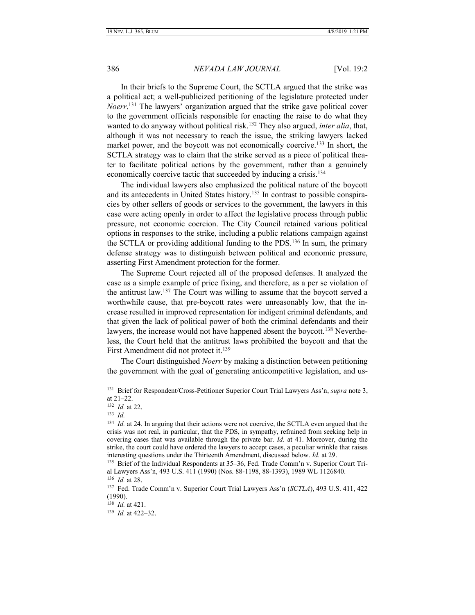In their briefs to the Supreme Court, the SCTLA argued that the strike was a political act; a well-publicized petitioning of the legislature protected under *Noerr*. <sup>131</sup> The lawyers' organization argued that the strike gave political cover to the government officials responsible for enacting the raise to do what they wanted to do anyway without political risk.<sup>132</sup> They also argued, *inter alia*, that, although it was not necessary to reach the issue, the striking lawyers lacked market power, and the boycott was not economically coercive.<sup>133</sup> In short, the SCTLA strategy was to claim that the strike served as a piece of political theater to facilitate political actions by the government, rather than a genuinely economically coercive tactic that succeeded by inducing a crisis.<sup>134</sup>

The individual lawyers also emphasized the political nature of the boycott and its antecedents in United States history.<sup>135</sup> In contrast to possible conspiracies by other sellers of goods or services to the government, the lawyers in this case were acting openly in order to affect the legislative process through public pressure, not economic coercion. The City Council retained various political options in responses to the strike, including a public relations campaign against the SCTLA or providing additional funding to the PDS.<sup>136</sup> In sum, the primary defense strategy was to distinguish between political and economic pressure, asserting First Amendment protection for the former.

The Supreme Court rejected all of the proposed defenses. It analyzed the case as a simple example of price fixing, and therefore, as a per se violation of the antitrust law.<sup>137</sup> The Court was willing to assume that the boycott served a worthwhile cause, that pre-boycott rates were unreasonably low, that the increase resulted in improved representation for indigent criminal defendants, and that given the lack of political power of both the criminal defendants and their lawyers, the increase would not have happened absent the boycott.<sup>138</sup> Nevertheless, the Court held that the antitrust laws prohibited the boycott and that the First Amendment did not protect it.<sup>139</sup>

The Court distinguished *Noerr* by making a distinction between petitioning the government with the goal of generating anticompetitive legislation, and us-

<sup>&</sup>lt;sup>131</sup> Brief for Respondent/Cross-Petitioner Superior Court Trial Lawyers Ass'n, *supra* note 3, at 21–22.

<sup>132</sup> *Id.* at 22.

<sup>133</sup> *Id.*

<sup>&</sup>lt;sup>134</sup> *Id.* at 24. In arguing that their actions were not coercive, the SCTLA even argued that the crisis was not real, in particular, that the PDS, in sympathy, refrained from seeking help in covering cases that was available through the private bar. *Id.* at 41. Moreover, during the strike, the court could have ordered the lawyers to accept cases, a peculiar wrinkle that raises interesting questions under the Thirteenth Amendment, discussed below. *Id.* at 29.

<sup>&</sup>lt;sup>135</sup> Brief of the Individual Respondents at 35–36, Fed. Trade Comm'n v. Superior Court Trial Lawyers Ass'n, 493 U.S. 411 (1990) (Nos. 88-1198, 88-1393), 1989 WL 1126840.

<sup>136</sup> *Id.* at 28.

<sup>137</sup> Fed. Trade Comm'n v. Superior Court Trial Lawyers Ass'n (*SCTLA*), 493 U.S. 411, 422 (1990).

<sup>138</sup>  *Id.* at 421.

<sup>139</sup> *Id.* at 422–32.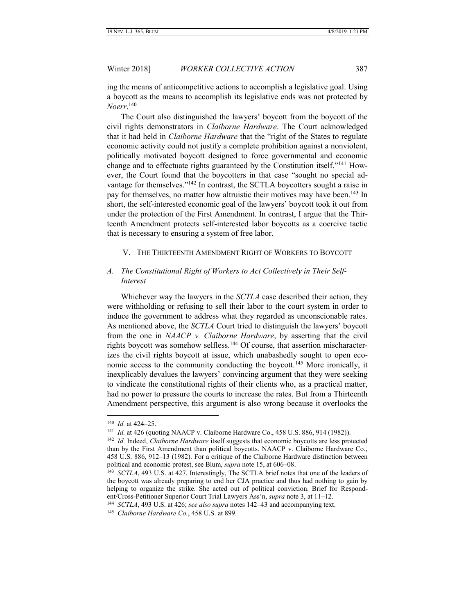ing the means of anticompetitive actions to accomplish a legislative goal. Using a boycott as the means to accomplish its legislative ends was not protected by *Noerr*. 140

The Court also distinguished the lawyers' boycott from the boycott of the civil rights demonstrators in *Claiborne Hardware*. The Court acknowledged that it had held in *Claiborne Hardware* that the "right of the States to regulate economic activity could not justify a complete prohibition against a nonviolent, politically motivated boycott designed to force governmental and economic change and to effectuate rights guaranteed by the Constitution itself."<sup>141</sup> However, the Court found that the boycotters in that case "sought no special advantage for themselves."<sup>142</sup> In contrast, the SCTLA boycotters sought a raise in pay for themselves, no matter how altruistic their motives may have been.<sup>143</sup> In short, the self-interested economic goal of the lawyers' boycott took it out from under the protection of the First Amendment. In contrast, I argue that the Thirteenth Amendment protects self-interested labor boycotts as a coercive tactic that is necessary to ensuring a system of free labor.

#### <span id="page-22-0"></span>V. THE THIRTEENTH AMENDMENT RIGHT OF WORKERS TO BOYCOTT

# <span id="page-22-1"></span>*A. The Constitutional Right of Workers to Act Collectively in Their Self-Interest*

Whichever way the lawyers in the *SCTLA* case described their action, they were withholding or refusing to sell their labor to the court system in order to induce the government to address what they regarded as unconscionable rates. As mentioned above, the *SCTLA* Court tried to distinguish the lawyers' boycott from the one in *NAACP v. Claiborne Hardware*, by asserting that the civil rights boycott was somehow selfless.<sup>144</sup> Of course, that assertion mischaracterizes the civil rights boycott at issue, which unabashedly sought to open economic access to the community conducting the boycott.<sup>145</sup> More ironically, it inexplicably devalues the lawyers' convincing argument that they were seeking to vindicate the constitutional rights of their clients who, as a practical matter, had no power to pressure the courts to increase the rates. But from a Thirteenth Amendment perspective, this argument is also wrong because it overlooks the

<sup>140</sup> *Id.* at 424–25.

<sup>141</sup> *Id.* at 426 (quoting NAACP v. Claiborne Hardware Co., 458 U.S. 886, 914 (1982)).

<sup>142</sup> *Id.* Indeed, *Claiborne Hardware* itself suggests that economic boycotts are less protected than by the First Amendment than political boycotts. NAACP v. Claiborne Hardware Co., 458 U.S. 886, 912–13 (1982). For a critique of the Claiborne Hardware distinction between political and economic protest, see Blum, *supra* note 15, at 606–08.

<sup>143</sup> *SCTLA*, 493 U.S. at 427. Interestingly, The SCTLA brief notes that one of the leaders of the boycott was already preparing to end her CJA practice and thus had nothing to gain by helping to organize the strike. She acted out of political conviction. Brief for Respondent/Cross-Petitioner Superior Court Trial Lawyers Ass'n, *supra* note 3, at 11–12.

<sup>144</sup> *SCTLA*, 493 U.S. at 426; *see also supra* notes 142–43 and accompanying text.

<sup>145</sup> *Claiborne Hardware Co.*, 458 U.S. at 899.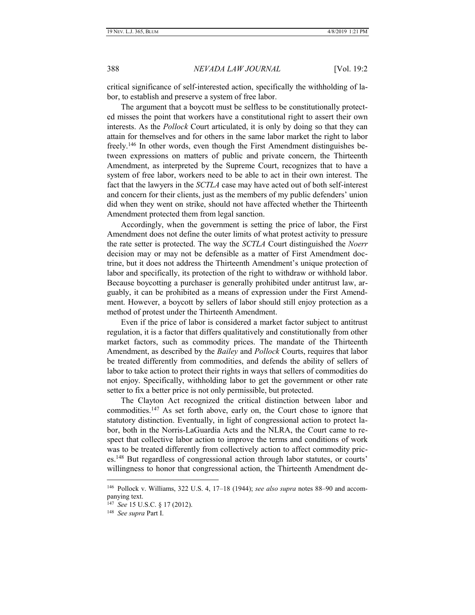critical significance of self-interested action, specifically the withholding of labor, to establish and preserve a system of free labor.

The argument that a boycott must be selfless to be constitutionally protected misses the point that workers have a constitutional right to assert their own interests. As the *Pollock* Court articulated, it is only by doing so that they can attain for themselves and for others in the same labor market the right to labor freely.<sup>146</sup> In other words, even though the First Amendment distinguishes between expressions on matters of public and private concern, the Thirteenth Amendment, as interpreted by the Supreme Court, recognizes that to have a system of free labor, workers need to be able to act in their own interest. The fact that the lawyers in the *SCTLA* case may have acted out of both self-interest and concern for their clients, just as the members of my public defenders' union did when they went on strike, should not have affected whether the Thirteenth Amendment protected them from legal sanction.

Accordingly, when the government is setting the price of labor, the First Amendment does not define the outer limits of what protest activity to pressure the rate setter is protected. The way the *SCTLA* Court distinguished the *Noerr*  decision may or may not be defensible as a matter of First Amendment doctrine, but it does not address the Thirteenth Amendment's unique protection of labor and specifically, its protection of the right to withdraw or withhold labor. Because boycotting a purchaser is generally prohibited under antitrust law, arguably, it can be prohibited as a means of expression under the First Amendment. However, a boycott by sellers of labor should still enjoy protection as a method of protest under the Thirteenth Amendment.

Even if the price of labor is considered a market factor subject to antitrust regulation, it is a factor that differs qualitatively and constitutionally from other market factors, such as commodity prices. The mandate of the Thirteenth Amendment, as described by the *Bailey* and *Pollock* Courts, requires that labor be treated differently from commodities, and defends the ability of sellers of labor to take action to protect their rights in ways that sellers of commodities do not enjoy. Specifically, withholding labor to get the government or other rate setter to fix a better price is not only permissible, but protected.

The Clayton Act recognized the critical distinction between labor and commodities.<sup>147</sup> As set forth above, early on, the Court chose to ignore that statutory distinction. Eventually, in light of congressional action to protect labor, both in the Norris-LaGuardia Acts and the NLRA, the Court came to respect that collective labor action to improve the terms and conditions of work was to be treated differently from collectively action to affect commodity prices.<sup>148</sup> But regardless of congressional action through labor statutes, or courts' willingness to honor that congressional action, the Thirteenth Amendment de-

<sup>146</sup> Pollock v. Williams, 322 U.S. 4, 17–18 (1944); *see also supra* notes 88–90 and accompanying text.

<sup>147</sup> *See* 15 U.S.C. § 17 (2012).

<sup>148</sup> *See supra* Part I.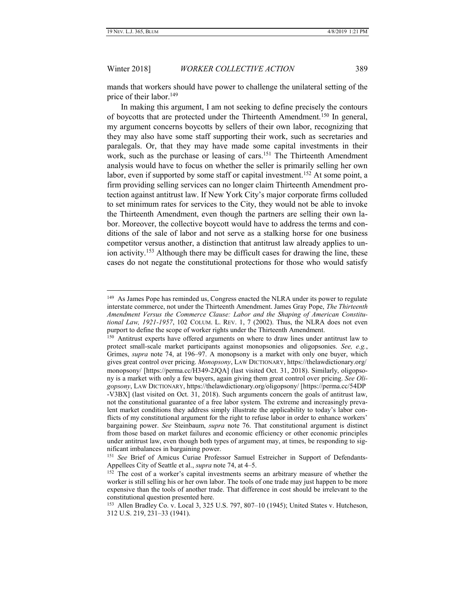Winter 2018] *WORKER COLLECTIVE ACTION* 389

mands that workers should have power to challenge the unilateral setting of the price of their labor.<sup>149</sup>

In making this argument, I am not seeking to define precisely the contours of boycotts that are protected under the Thirteenth Amendment.<sup>150</sup> In general, my argument concerns boycotts by sellers of their own labor, recognizing that they may also have some staff supporting their work, such as secretaries and paralegals. Or, that they may have made some capital investments in their work, such as the purchase or leasing of cars.<sup>151</sup> The Thirteenth Amendment analysis would have to focus on whether the seller is primarily selling her own labor, even if supported by some staff or capital investment.<sup>152</sup> At some point, a firm providing selling services can no longer claim Thirteenth Amendment protection against antitrust law. If New York City's major corporate firms colluded to set minimum rates for services to the City, they would not be able to invoke the Thirteenth Amendment, even though the partners are selling their own labor. Moreover, the collective boycott would have to address the terms and conditions of the sale of labor and not serve as a stalking horse for one business competitor versus another, a distinction that antitrust law already applies to union activity.<sup>153</sup> Although there may be difficult cases for drawing the line, these cases do not negate the constitutional protections for those who would satisfy

<sup>&</sup>lt;sup>149</sup> As James Pope has reminded us, Congress enacted the NLRA under its power to regulate interstate commerce, not under the Thirteenth Amendment. James Gray Pope, *The Thirteenth Amendment Versus the Commerce Clause: Labor and the Shaping of American Constitutional Law, 1921-1957*, 102 COLUM. L. REV. 1, 7 (2002). Thus, the NLRA does not even purport to define the scope of worker rights under the Thirteenth Amendment.

<sup>&</sup>lt;sup>150</sup> Antitrust experts have offered arguments on where to draw lines under antitrust law to protect small-scale market participants against monopsonies and oligopsonies. *See, e.g.*, Grimes, *supra* note 74, at 196–97. A monopsony is a market with only one buyer, which gives great control over pricing. *Monopsony*, LAW DICTIONARY, https://thelawdictionary.org/ monopsony/ [https://perma.cc/H349-2JQA] (last visited Oct. 31, 2018). Similarly, oligopsony is a market with only a few buyers, again giving them great control over pricing. *See Oligopsony*, LAW DICTIONARY, https://thelawdictionary.org/oligopsony/ [https://perma.cc/54DP -V3BX] (last visited on Oct. 31, 2018). Such arguments concern the goals of antitrust law, not the constitutional guarantee of a free labor system. The extreme and increasingly prevalent market conditions they address simply illustrate the applicability to today's labor conflicts of my constitutional argument for the right to refuse labor in order to enhance workers' bargaining power. *See* Steinbaum, *supra* note 76. That constitutional argument is distinct from those based on market failures and economic efficiency or other economic principles under antitrust law, even though both types of argument may, at times, be responding to significant imbalances in bargaining power.

<sup>&</sup>lt;sup>151</sup> See Brief of Amicus Curiae Professor Samuel Estreicher in Support of Defendants-Appellees City of Seattle et al., *supra* note 74, at 4–5.

<sup>&</sup>lt;sup>152</sup> The cost of a worker's capital investments seems an arbitrary measure of whether the worker is still selling his or her own labor. The tools of one trade may just happen to be more expensive than the tools of another trade. That difference in cost should be irrelevant to the constitutional question presented here.

<sup>153</sup> Allen Bradley Co. v. Local 3, 325 U.S. 797, 807–10 (1945); United States v. Hutcheson, 312 U.S. 219, 231–33 (1941).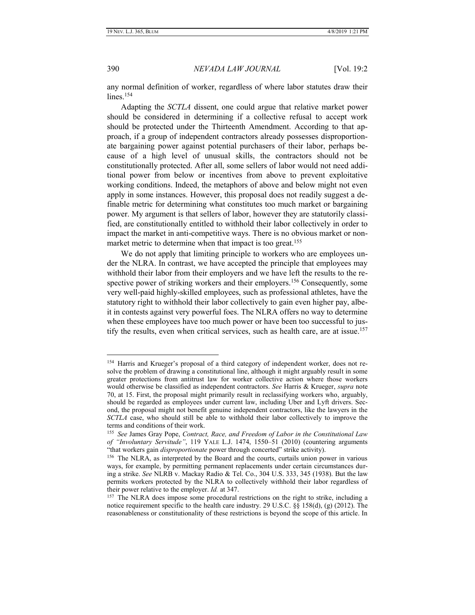#### 390 *NEVADA LAW JOURNAL* [Vol. 19:2

any normal definition of worker, regardless of where labor statutes draw their lines.<sup>154</sup>

Adapting the *SCTLA* dissent, one could argue that relative market power should be considered in determining if a collective refusal to accept work should be protected under the Thirteenth Amendment. According to that approach, if a group of independent contractors already possesses disproportionate bargaining power against potential purchasers of their labor, perhaps because of a high level of unusual skills, the contractors should not be constitutionally protected. After all, some sellers of labor would not need additional power from below or incentives from above to prevent exploitative working conditions. Indeed, the metaphors of above and below might not even apply in some instances. However, this proposal does not readily suggest a definable metric for determining what constitutes too much market or bargaining power. My argument is that sellers of labor, however they are statutorily classified, are constitutionally entitled to withhold their labor collectively in order to impact the market in anti-competitive ways. There is no obvious market or nonmarket metric to determine when that impact is too great.<sup>155</sup>

We do not apply that limiting principle to workers who are employees under the NLRA. In contrast, we have accepted the principle that employees may withhold their labor from their employers and we have left the results to the respective power of striking workers and their employers.<sup>156</sup> Consequently, some very well-paid highly-skilled employees, such as professional athletes, have the statutory right to withhold their labor collectively to gain even higher pay, albeit in contests against very powerful foes. The NLRA offers no way to determine when these employees have too much power or have been too successful to justify the results, even when critical services, such as health care, are at issue. 157

<sup>&</sup>lt;sup>154</sup> Harris and Krueger's proposal of a third category of independent worker, does not resolve the problem of drawing a constitutional line, although it might arguably result in some greater protections from antitrust law for worker collective action where those workers would otherwise be classified as independent contractors. *See* Harris & Krueger, *supra* note 70, at 15. First, the proposal might primarily result in reclassifying workers who, arguably, should be regarded as employees under current law, including Uber and Lyft drivers. Second, the proposal might not benefit genuine independent contractors, like the lawyers in the *SCTLA* case, who should still be able to withhold their labor collectively to improve the terms and conditions of their work.

<sup>155</sup> *See* James Gray Pope, *Contract, Race, and Freedom of Labor in the Constitutional Law of "Involuntary Servitude"*, 119 YALE L.J. 1474, 1550–51 (2010) (countering arguments "that workers gain *disproportionate* power through concerted" strike activity).

<sup>156</sup> The NLRA, as interpreted by the Board and the courts, curtails union power in various ways, for example, by permitting permanent replacements under certain circumstances during a strike. *See* NLRB v. Mackay Radio & Tel. Co., 304 U.S. 333, 345 (1938). But the law permits workers protected by the NLRA to collectively withhold their labor regardless of their power relative to the employer. *Id.* at 347.

<sup>&</sup>lt;sup>157</sup> The NLRA does impose some procedural restrictions on the right to strike, including a notice requirement specific to the health care industry. 29 U.S.C. §§ 158(d), (g) (2012). The reasonableness or constitutionality of these restrictions is beyond the scope of this article. In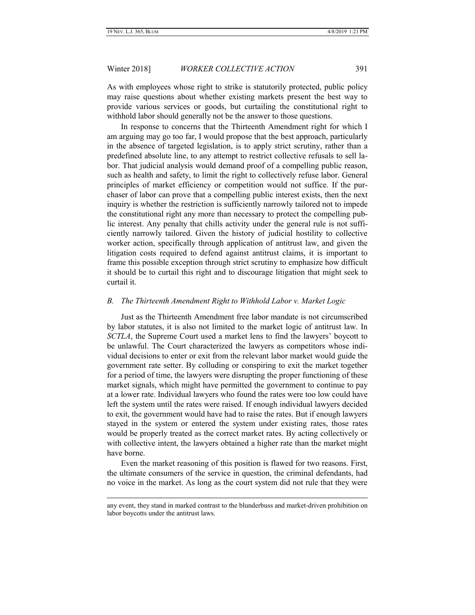# Winter 2018] *WORKER COLLECTIVE ACTION* 391

As with employees whose right to strike is statutorily protected, public policy may raise questions about whether existing markets present the best way to provide various services or goods, but curtailing the constitutional right to withhold labor should generally not be the answer to those questions.

In response to concerns that the Thirteenth Amendment right for which I am arguing may go too far, I would propose that the best approach, particularly in the absence of targeted legislation, is to apply strict scrutiny, rather than a predefined absolute line, to any attempt to restrict collective refusals to sell labor. That judicial analysis would demand proof of a compelling public reason, such as health and safety, to limit the right to collectively refuse labor. General principles of market efficiency or competition would not suffice. If the purchaser of labor can prove that a compelling public interest exists, then the next inquiry is whether the restriction is sufficiently narrowly tailored not to impede the constitutional right any more than necessary to protect the compelling public interest. Any penalty that chills activity under the general rule is not sufficiently narrowly tailored. Given the history of judicial hostility to collective worker action, specifically through application of antitrust law, and given the litigation costs required to defend against antitrust claims, it is important to frame this possible exception through strict scrutiny to emphasize how difficult it should be to curtail this right and to discourage litigation that might seek to curtail it.

#### <span id="page-26-0"></span>*B. The Thirteenth Amendment Right to Withhold Labor v. Market Logic*

Just as the Thirteenth Amendment free labor mandate is not circumscribed by labor statutes, it is also not limited to the market logic of antitrust law. In *SCTLA*, the Supreme Court used a market lens to find the lawyers' boycott to be unlawful. The Court characterized the lawyers as competitors whose individual decisions to enter or exit from the relevant labor market would guide the government rate setter. By colluding or conspiring to exit the market together for a period of time, the lawyers were disrupting the proper functioning of these market signals, which might have permitted the government to continue to pay at a lower rate. Individual lawyers who found the rates were too low could have left the system until the rates were raised. If enough individual lawyers decided to exit, the government would have had to raise the rates. But if enough lawyers stayed in the system or entered the system under existing rates, those rates would be properly treated as the correct market rates. By acting collectively or with collective intent, the lawyers obtained a higher rate than the market might have borne.

Even the market reasoning of this position is flawed for two reasons. First, the ultimate consumers of the service in question, the criminal defendants, had no voice in the market. As long as the court system did not rule that they were

any event, they stand in marked contrast to the blunderbuss and market-driven prohibition on labor boycotts under the antitrust laws.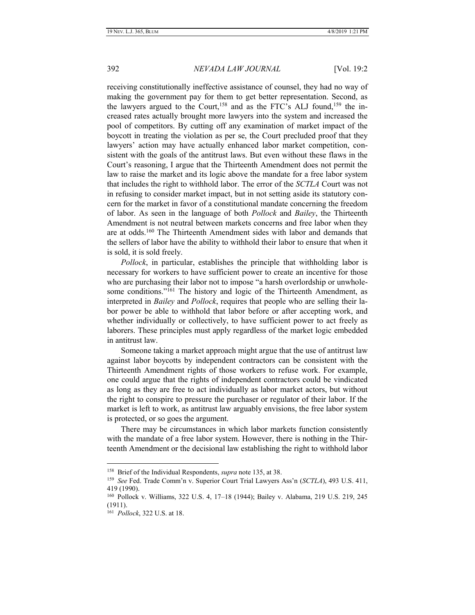receiving constitutionally ineffective assistance of counsel, they had no way of making the government pay for them to get better representation. Second, as the lawyers argued to the Court,<sup>158</sup> and as the FTC's ALJ found,<sup>159</sup> the increased rates actually brought more lawyers into the system and increased the pool of competitors. By cutting off any examination of market impact of the boycott in treating the violation as per se, the Court precluded proof that they lawyers' action may have actually enhanced labor market competition, consistent with the goals of the antitrust laws. But even without these flaws in the Court's reasoning, I argue that the Thirteenth Amendment does not permit the law to raise the market and its logic above the mandate for a free labor system that includes the right to withhold labor. The error of the *SCTLA* Court was not in refusing to consider market impact, but in not setting aside its statutory concern for the market in favor of a constitutional mandate concerning the freedom of labor. As seen in the language of both *Pollock* and *Bailey*, the Thirteenth Amendment is not neutral between markets concerns and free labor when they are at odds.<sup>160</sup> The Thirteenth Amendment sides with labor and demands that the sellers of labor have the ability to withhold their labor to ensure that when it is sold, it is sold freely.

*Pollock*, in particular, establishes the principle that withholding labor is necessary for workers to have sufficient power to create an incentive for those who are purchasing their labor not to impose "a harsh overlordship or unwholesome conditions."<sup>161</sup> The history and logic of the Thirteenth Amendment, as interpreted in *Bailey* and *Pollock*, requires that people who are selling their labor power be able to withhold that labor before or after accepting work, and whether individually or collectively, to have sufficient power to act freely as laborers. These principles must apply regardless of the market logic embedded in antitrust law.

Someone taking a market approach might argue that the use of antitrust law against labor boycotts by independent contractors can be consistent with the Thirteenth Amendment rights of those workers to refuse work. For example, one could argue that the rights of independent contractors could be vindicated as long as they are free to act individually as labor market actors, but without the right to conspire to pressure the purchaser or regulator of their labor. If the market is left to work, as antitrust law arguably envisions, the free labor system is protected, or so goes the argument.

There may be circumstances in which labor markets function consistently with the mandate of a free labor system. However, there is nothing in the Thirteenth Amendment or the decisional law establishing the right to withhold labor

<sup>158</sup> Brief of the Individual Respondents, *supra* note 135, at 38.

<sup>159</sup> *See* Fed. Trade Comm'n v. Superior Court Trial Lawyers Ass'n (*SCTLA*), 493 U.S. 411, 419 (1990).

<sup>160</sup> Pollock v. Williams, 322 U.S. 4, 17–18 (1944); Bailey v. Alabama, 219 U.S. 219, 245 (1911).

<sup>161</sup> *Pollock*, 322 U.S. at 18.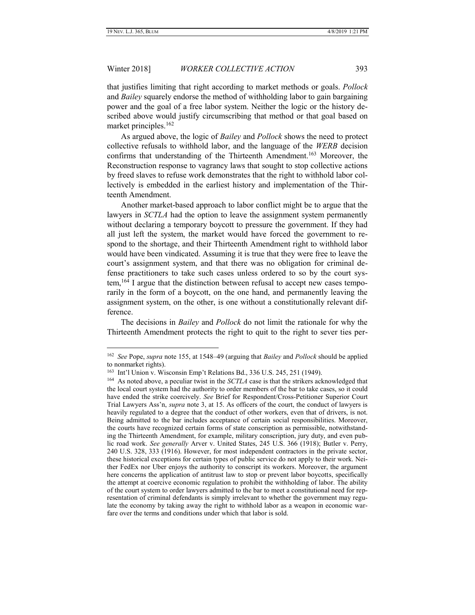# Winter 2018] *WORKER COLLECTIVE ACTION* 393

that justifies limiting that right according to market methods or goals. *Pollock* and *Bailey* squarely endorse the method of withholding labor to gain bargaining power and the goal of a free labor system. Neither the logic or the history described above would justify circumscribing that method or that goal based on market principles.<sup>162</sup>

As argued above, the logic of *Bailey* and *Pollock* shows the need to protect collective refusals to withhold labor, and the language of the *WERB* decision confirms that understanding of the Thirteenth Amendment.<sup>163</sup> Moreover, the Reconstruction response to vagrancy laws that sought to stop collective actions by freed slaves to refuse work demonstrates that the right to withhold labor collectively is embedded in the earliest history and implementation of the Thirteenth Amendment.

Another market-based approach to labor conflict might be to argue that the lawyers in *SCTLA* had the option to leave the assignment system permanently without declaring a temporary boycott to pressure the government. If they had all just left the system, the market would have forced the government to respond to the shortage, and their Thirteenth Amendment right to withhold labor would have been vindicated. Assuming it is true that they were free to leave the court's assignment system, and that there was no obligation for criminal defense practitioners to take such cases unless ordered to so by the court system,<sup>164</sup> I argue that the distinction between refusal to accept new cases temporarily in the form of a boycott, on the one hand, and permanently leaving the assignment system, on the other, is one without a constitutionally relevant difference.

The decisions in *Bailey* and *Pollock* do not limit the rationale for why the Thirteenth Amendment protects the right to quit to the right to sever ties per-

<sup>162</sup> *See* Pope, *supra* note 155, at 1548–49 (arguing that *Bailey* and *Pollock* should be applied to nonmarket rights).

<sup>163</sup> Int'l Union v. Wisconsin Emp't Relations Bd., 336 U.S. 245, 251 (1949).

<sup>164</sup> As noted above, a peculiar twist in the *SCTLA* case is that the strikers acknowledged that the local court system had the authority to order members of the bar to take cases, so it could have ended the strike coercively. *See* Brief for Respondent/Cross-Petitioner Superior Court Trial Lawyers Ass'n, *supra* note 3, at 15. As officers of the court, the conduct of lawyers is heavily regulated to a degree that the conduct of other workers, even that of drivers, is not. Being admitted to the bar includes acceptance of certain social responsibilities. Moreover, the courts have recognized certain forms of state conscription as permissible, notwithstanding the Thirteenth Amendment, for example, military conscription, jury duty, and even public road work. *See generally* Arver v. United States, 245 U.S. 366 (1918); Butler v. Perry, 240 U.S. 328, 333 (1916). However, for most independent contractors in the private sector, these historical exceptions for certain types of public service do not apply to their work. Neither FedEx nor Uber enjoys the authority to conscript its workers. Moreover, the argument here concerns the application of antitrust law to stop or prevent labor boycotts, specifically the attempt at coercive economic regulation to prohibit the withholding of labor. The ability of the court system to order lawyers admitted to the bar to meet a constitutional need for representation of criminal defendants is simply irrelevant to whether the government may regulate the economy by taking away the right to withhold labor as a weapon in economic warfare over the terms and conditions under which that labor is sold.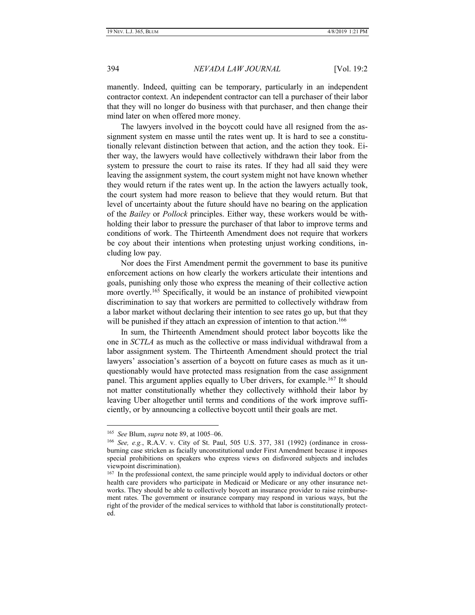manently. Indeed, quitting can be temporary, particularly in an independent contractor context. An independent contractor can tell a purchaser of their labor that they will no longer do business with that purchaser, and then change their mind later on when offered more money.

The lawyers involved in the boycott could have all resigned from the assignment system en masse until the rates went up. It is hard to see a constitutionally relevant distinction between that action, and the action they took. Either way, the lawyers would have collectively withdrawn their labor from the system to pressure the court to raise its rates. If they had all said they were leaving the assignment system, the court system might not have known whether they would return if the rates went up. In the action the lawyers actually took, the court system had more reason to believe that they would return. But that level of uncertainty about the future should have no bearing on the application of the *Bailey* or *Pollock* principles. Either way, these workers would be withholding their labor to pressure the purchaser of that labor to improve terms and conditions of work. The Thirteenth Amendment does not require that workers be coy about their intentions when protesting unjust working conditions, including low pay.

Nor does the First Amendment permit the government to base its punitive enforcement actions on how clearly the workers articulate their intentions and goals, punishing only those who express the meaning of their collective action more overtly.<sup>165</sup> Specifically, it would be an instance of prohibited viewpoint discrimination to say that workers are permitted to collectively withdraw from a labor market without declaring their intention to see rates go up, but that they will be punished if they attach an expression of intention to that action.<sup>166</sup>

In sum, the Thirteenth Amendment should protect labor boycotts like the one in *SCTLA* as much as the collective or mass individual withdrawal from a labor assignment system. The Thirteenth Amendment should protect the trial lawyers' association's assertion of a boycott on future cases as much as it unquestionably would have protected mass resignation from the case assignment panel. This argument applies equally to Uber drivers, for example.<sup>167</sup> It should not matter constitutionally whether they collectively withhold their labor by leaving Uber altogether until terms and conditions of the work improve sufficiently, or by announcing a collective boycott until their goals are met.

<sup>165</sup> *See* Blum, *supra* note 89, at 1005–06.

<sup>166</sup> *See, e.g.*, R.A.V. v. City of St. Paul, 505 U.S. 377, 381 (1992) (ordinance in crossburning case stricken as facially unconstitutional under First Amendment because it imposes special prohibitions on speakers who express views on disfavored subjects and includes viewpoint discrimination).

<sup>&</sup>lt;sup>167</sup> In the professional context, the same principle would apply to individual doctors or other health care providers who participate in Medicaid or Medicare or any other insurance networks. They should be able to collectively boycott an insurance provider to raise reimbursement rates. The government or insurance company may respond in various ways, but the right of the provider of the medical services to withhold that labor is constitutionally protected.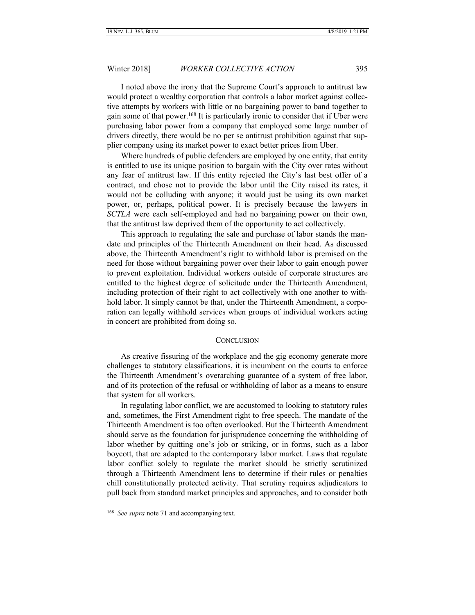I noted above the irony that the Supreme Court's approach to antitrust law would protect a wealthy corporation that controls a labor market against collective attempts by workers with little or no bargaining power to band together to gain some of that power.<sup>168</sup> It is particularly ironic to consider that if Uber were purchasing labor power from a company that employed some large number of drivers directly, there would be no per se antitrust prohibition against that supplier company using its market power to exact better prices from Uber.

Where hundreds of public defenders are employed by one entity, that entity is entitled to use its unique position to bargain with the City over rates without any fear of antitrust law. If this entity rejected the City's last best offer of a contract, and chose not to provide the labor until the City raised its rates, it would not be colluding with anyone; it would just be using its own market power, or, perhaps, political power. It is precisely because the lawyers in *SCTLA* were each self-employed and had no bargaining power on their own, that the antitrust law deprived them of the opportunity to act collectively.

This approach to regulating the sale and purchase of labor stands the mandate and principles of the Thirteenth Amendment on their head. As discussed above, the Thirteenth Amendment's right to withhold labor is premised on the need for those without bargaining power over their labor to gain enough power to prevent exploitation. Individual workers outside of corporate structures are entitled to the highest degree of solicitude under the Thirteenth Amendment, including protection of their right to act collectively with one another to withhold labor. It simply cannot be that, under the Thirteenth Amendment, a corporation can legally withhold services when groups of individual workers acting in concert are prohibited from doing so.

#### **CONCLUSION**

<span id="page-30-0"></span>As creative fissuring of the workplace and the gig economy generate more challenges to statutory classifications, it is incumbent on the courts to enforce the Thirteenth Amendment's overarching guarantee of a system of free labor, and of its protection of the refusal or withholding of labor as a means to ensure that system for all workers.

In regulating labor conflict, we are accustomed to looking to statutory rules and, sometimes, the First Amendment right to free speech. The mandate of the Thirteenth Amendment is too often overlooked. But the Thirteenth Amendment should serve as the foundation for jurisprudence concerning the withholding of labor whether by quitting one's job or striking, or in forms, such as a labor boycott, that are adapted to the contemporary labor market. Laws that regulate labor conflict solely to regulate the market should be strictly scrutinized through a Thirteenth Amendment lens to determine if their rules or penalties chill constitutionally protected activity. That scrutiny requires adjudicators to pull back from standard market principles and approaches, and to consider both

<sup>&</sup>lt;sup>168</sup> See supra note 71 and accompanying text.